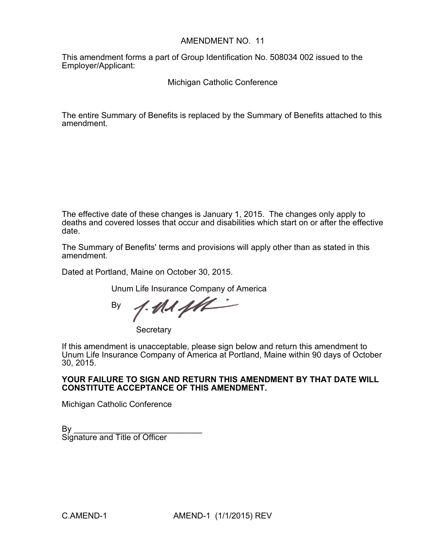# AMENDMENT NO. 11

This amendment forms a part of Group Identification No. 508034 002 issued to the Employer/Applicant:

Michigan Catholic Conference

The entire Summary of Benefits is replaced by the Summary of Benefits attached to this amendment.

The effective date of these changes is January 1, 2015. The changes only apply to deaths and covered losses that occur and disabilities which start on or after the effective date.

The Summary of Benefits' terms and provisions will apply other than as stated in this amendment.

Dated at Portland, Maine on October 30, 2015.

Unum Life Insurance Company of America

 $1.0141$ By

**Secretary** 

If this amendment is unacceptable, please sign below and return this amendment to Unum Life Insurance Company of America at Portland, Maine within 90 days of October 30, 2015.

# **YOUR FAILURE TO SIGN AND RETURN THIS AMENDMENT BY THAT DATE WILL CONSTITUTE ACCEPTANCE OF THIS AMENDMENT.**

Michigan Catholic Conference

 $\mathsf{By} \_\_\_\_\_\$ Signature and Title of Officer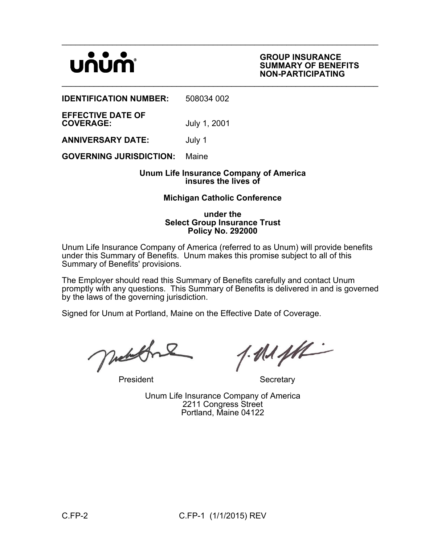# UNUN

### **GROUP INSURANCE SUMMARY OF BENEFITS NON-PARTICIPATING**

**IDENTIFICATION NUMBER:** 508034 002

**EFFECTIVE DATE OF**

**COVERAGE:** July 1, 2001

**ANNIVERSARY DATE:** July 1

**GOVERNING JURISDICTION:** Maine

# **Unum Life Insurance Company of America insures the lives of**

 $\mathcal{L}_\mathcal{L} = \mathcal{L}_\mathcal{L} = \mathcal{L}_\mathcal{L} = \mathcal{L}_\mathcal{L} = \mathcal{L}_\mathcal{L} = \mathcal{L}_\mathcal{L} = \mathcal{L}_\mathcal{L} = \mathcal{L}_\mathcal{L} = \mathcal{L}_\mathcal{L} = \mathcal{L}_\mathcal{L} = \mathcal{L}_\mathcal{L} = \mathcal{L}_\mathcal{L} = \mathcal{L}_\mathcal{L} = \mathcal{L}_\mathcal{L} = \mathcal{L}_\mathcal{L} = \mathcal{L}_\mathcal{L} = \mathcal{L}_\mathcal{L}$ 

 $\mathcal{L}_\mathcal{L} = \mathcal{L}_\mathcal{L} = \mathcal{L}_\mathcal{L} = \mathcal{L}_\mathcal{L} = \mathcal{L}_\mathcal{L} = \mathcal{L}_\mathcal{L} = \mathcal{L}_\mathcal{L} = \mathcal{L}_\mathcal{L} = \mathcal{L}_\mathcal{L} = \mathcal{L}_\mathcal{L} = \mathcal{L}_\mathcal{L} = \mathcal{L}_\mathcal{L} = \mathcal{L}_\mathcal{L} = \mathcal{L}_\mathcal{L} = \mathcal{L}_\mathcal{L} = \mathcal{L}_\mathcal{L} = \mathcal{L}_\mathcal{L}$ 

# **Michigan Catholic Conference**

### **under the Select Group Insurance Trust Policy No. 292000**

Unum Life Insurance Company of America (referred to as Unum) will provide benefits under this Summary of Benefits. Unum makes this promise subject to all of this Summary of Benefits' provisions.

The Employer should read this Summary of Benefits carefully and contact Unum promptly with any questions. This Summary of Benefits is delivered in and is governed by the laws of the governing jurisdiction.

Signed for Unum at Portland, Maine on the Effective Date of Coverage.

Meditors

President Secretary

 $4.0144$ 

Unum Life Insurance Company of America 2211 Congress Street Portland, Maine 04122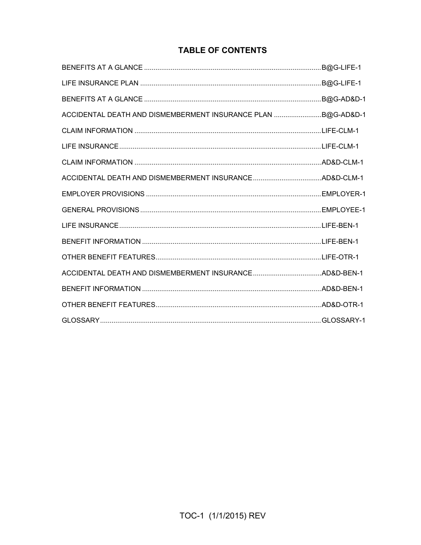# **TABLE OF CONTENTS**

|                                                              | B@G-AD&D-1 |
|--------------------------------------------------------------|------------|
| ACCIDENTAL DEATH AND DISMEMBERMENT INSURANCE PLAN B@G-AD&D-1 |            |
|                                                              |            |
|                                                              |            |
|                                                              |            |
|                                                              |            |
|                                                              |            |
|                                                              |            |
|                                                              |            |
|                                                              |            |
|                                                              |            |
|                                                              |            |
|                                                              |            |
|                                                              |            |
|                                                              |            |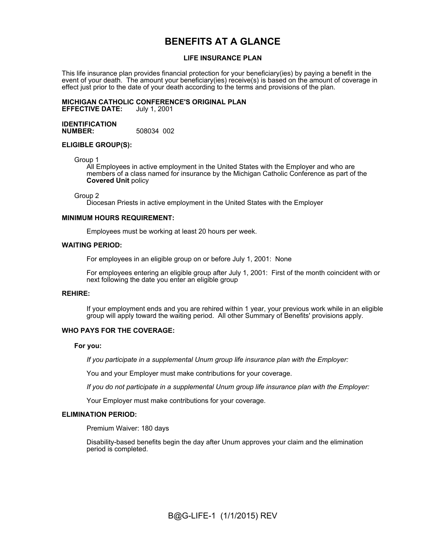# **BENEFITS AT A GLANCE**

### **LIFE INSURANCE PLAN**

This life insurance plan provides financial protection for your beneficiary(ies) by paying a benefit in the event of your death. The amount your beneficiary(ies) receive(s) is based on the amount of coverage in effect just prior to the date of your death according to the terms and provisions of the plan.

#### **MICHIGAN CATHOLIC CONFERENCE'S ORIGINAL PLAN EFFECTIVE DATE:**

**IDENTIFICATION NUMBER:** 508034 002

#### **ELIGIBLE GROUP(S):**

Group 1

All Employees in active employment in the United States with the Employer and who are members of a class named for insurance by the Michigan Catholic Conference as part of the **Covered Unit** policy

Group 2

Diocesan Priests in active employment in the United States with the Employer

#### **MINIMUM HOURS REQUIREMENT:**

Employees must be working at least 20 hours per week.

#### **WAITING PERIOD:**

For employees in an eligible group on or before July 1, 2001: None

For employees entering an eligible group after July 1, 2001: First of the month coincident with or next following the date you enter an eligible group

#### **REHIRE:**

If your employment ends and you are rehired within 1 year, your previous work while in an eligible group will apply toward the waiting period. All other Summary of Benefits' provisions apply.

#### **WHO PAYS FOR THE COVERAGE:**

#### **For you:**

*If you participate in a supplemental Unum group life insurance plan with the Employer:*

You and your Employer must make contributions for your coverage.

*If you do not participate in a supplemental Unum group life insurance plan with the Employer:*

Your Employer must make contributions for your coverage.

#### **ELIMINATION PERIOD:**

Premium Waiver: 180 days

Disability-based benefits begin the day after Unum approves your claim and the elimination period is completed.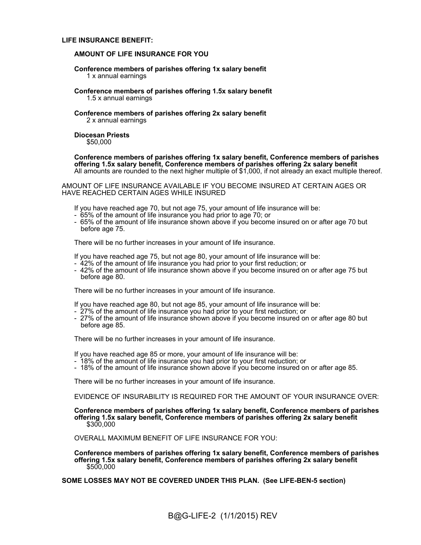#### **LIFE INSURANCE BENEFIT:**

#### **AMOUNT OF LIFE INSURANCE FOR YOU**

#### **Conference members of parishes offering 1x salary benefit** 1 x annual earnings

#### **Conference members of parishes offering 1.5x salary benefit** 1.5 x annual earnings

#### **Conference members of parishes offering 2x salary benefit** 2 x annual earnings

#### **Diocesan Priests** \$50,000

**Conference members of parishes offering 1x salary benefit, Conference members of parishes offering 1.5x salary benefit, Conference members of parishes offering 2x salary benefit** All amounts are rounded to the next higher multiple of \$1,000, if not already an exact multiple thereof.

AMOUNT OF LIFE INSURANCE AVAILABLE IF YOU BECOME INSURED AT CERTAIN AGES OR HAVE REACHED CERTAIN AGES WHILE INSURED

If you have reached age 70, but not age 75, your amount of life insurance will be:

- 65% of the amount of life insurance you had prior to age 70; or
- 65% of the amount of life insurance shown above if you become insured on or after age 70 but before age 75.

There will be no further increases in your amount of life insurance.

If you have reached age 75, but not age 80, your amount of life insurance will be:

- 42% of the amount of life insurance you had prior to your first reduction; or
- 42% of the amount of life insurance shown above if you become insured on or after age 75 but before age 80.

There will be no further increases in your amount of life insurance.

If you have reached age 80, but not age 85, your amount of life insurance will be:

- 27% of the amount of life insurance you had prior to your first reduction; or
- 27% of the amount of life insurance shown above if you become insured on or after age 80 but before age 85.

There will be no further increases in your amount of life insurance.

If you have reached age 85 or more, your amount of life insurance will be:

- 18% of the amount of life insurance you had prior to your first reduction; or
- 18% of the amount of life insurance shown above if you become insured on or after age 85.

There will be no further increases in your amount of life insurance.

EVIDENCE OF INSURABILITY IS REQUIRED FOR THE AMOUNT OF YOUR INSURANCE OVER:

**Conference members of parishes offering 1x salary benefit, Conference members of parishes offering 1.5x salary benefit, Conference members of parishes offering 2x salary benefit** \$300,000

OVERALL MAXIMUM BENEFIT OF LIFE INSURANCE FOR YOU:

**Conference members of parishes offering 1x salary benefit, Conference members of parishes offering 1.5x salary benefit, Conference members of parishes offering 2x salary benefit** \$500,000

**SOME LOSSES MAY NOT BE COVERED UNDER THIS PLAN. (See LIFE-BEN-5 section)**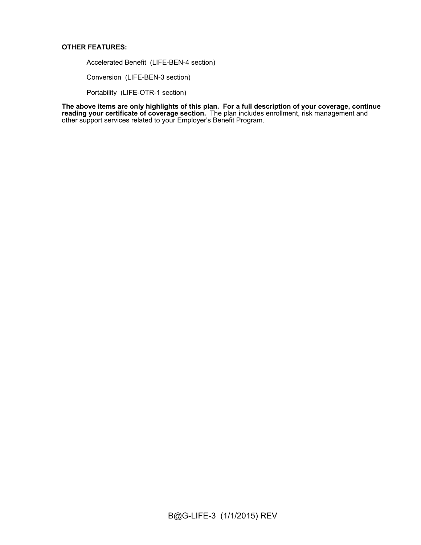### **OTHER FEATURES:**

Accelerated Benefit (LIFE-BEN-4 section)

Conversion (LIFE-BEN-3 section)

Portability (LIFE-OTR-1 section)

**The above items are only highlights of this plan. For a full description of your coverage, continue reading your certificate of coverage section.** The plan includes enrollment, risk management and other support services related to your Employer's Benefit Program.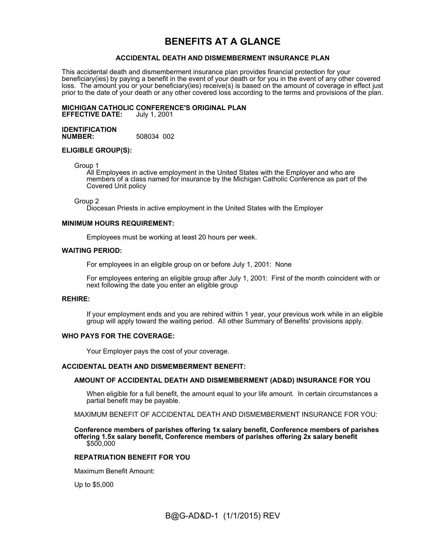# **BENEFITS AT A GLANCE**

### **ACCIDENTAL DEATH AND DISMEMBERMENT INSURANCE PLAN**

This accidental death and dismemberment insurance plan provides financial protection for your beneficiary(ies) by paying a benefit in the event of your death or for you in the event of any other covered loss. The amount you or your beneficiary(ies) receive(s) is based on the amount of coverage in effect just prior to the date of your death or any other covered loss according to the terms and provisions of the plan.

# **MICHIGAN CATHOLIC CONFERENCE'S ORIGINAL PLAN**

**EFFECTIVE DATE:** July 1, 2001

#### **IDENTIFICATION NUMBER:** 508034 002

### **ELIGIBLE GROUP(S):**

Group 1

All Employees in active employment in the United States with the Employer and who are members of a class named for insurance by the Michigan Catholic Conference as part of the Covered Unit policy

#### Group 2

Diocesan Priests in active employment in the United States with the Employer

### **MINIMUM HOURS REQUIREMENT:**

Employees must be working at least 20 hours per week.

#### **WAITING PERIOD:**

For employees in an eligible group on or before July 1, 2001: None

For employees entering an eligible group after July 1, 2001: First of the month coincident with or next following the date you enter an eligible group

#### **REHIRE:**

If your employment ends and you are rehired within 1 year, your previous work while in an eligible group will apply toward the waiting period. All other Summary of Benefits' provisions apply.

#### **WHO PAYS FOR THE COVERAGE:**

Your Employer pays the cost of your coverage.

#### **ACCIDENTAL DEATH AND DISMEMBERMENT BENEFIT:**

#### **AMOUNT OF ACCIDENTAL DEATH AND DISMEMBERMENT (AD&D) INSURANCE FOR YOU**

When eligible for a full benefit, the amount equal to your life amount. In certain circumstances a partial benefit may be payable.

MAXIMUM BENEFIT OF ACCIDENTAL DEATH AND DISMEMBERMENT INSURANCE FOR YOU:

**Conference members of parishes offering 1x salary benefit, Conference members of parishes offering 1.5x salary benefit, Conference members of parishes offering 2x salary benefit** \$500,000

#### **REPATRIATION BENEFIT FOR YOU**

Maximum Benefit Amount:

Up to \$5,000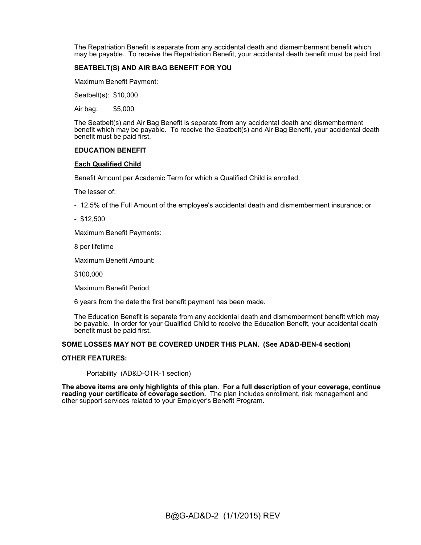The Repatriation Benefit is separate from any accidental death and dismemberment benefit which may be payable. To receive the Repatriation Benefit, your accidental death benefit must be paid first.

### **SEATBELT(S) AND AIR BAG BENEFIT FOR YOU**

Maximum Benefit Payment:

Seatbelt(s): \$10,000

Air bag: \$5,000

The Seatbelt(s) and Air Bag Benefit is separate from any accidental death and dismemberment benefit which may be payable. To receive the Seatbelt(s) and Air Bag Benefit, your accidental death benefit must be paid first.

#### **EDUCATION BENEFIT**

#### **Each Qualified Child**

Benefit Amount per Academic Term for which a Qualified Child is enrolled:

The lesser of:

- 12.5% of the Full Amount of the employee's accidental death and dismemberment insurance; or
- \$12,500

Maximum Benefit Payments:

8 per lifetime

Maximum Benefit Amount:

\$100,000

Maximum Benefit Period:

6 years from the date the first benefit payment has been made.

The Education Benefit is separate from any accidental death and dismemberment benefit which may be payable. In order for your Qualified Child to receive the Education Benefit, your accidental death benefit must be paid first.

#### **SOME LOSSES MAY NOT BE COVERED UNDER THIS PLAN. (See AD&D-BEN-4 section)**

#### **OTHER FEATURES:**

Portability (AD&D-OTR-1 section)

**The above items are only highlights of this plan. For a full description of your coverage, continue reading your certificate of coverage section.** The plan includes enrollment, risk management and other support services related to your Employer's Benefit Program.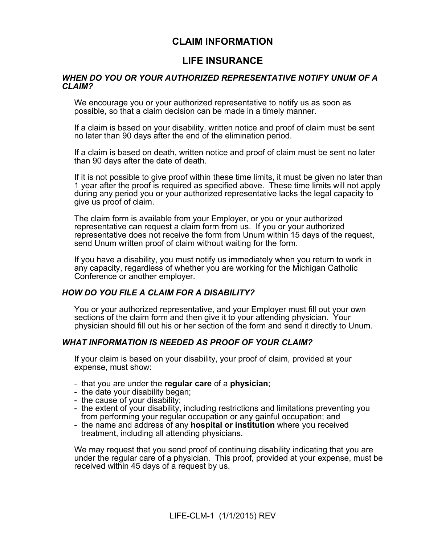# **CLAIM INFORMATION**

# **LIFE INSURANCE**

# *WHEN DO YOU OR YOUR AUTHORIZED REPRESENTATIVE NOTIFY UNUM OF A CLAIM?*

We encourage you or your authorized representative to notify us as soon as possible, so that a claim decision can be made in a timely manner.

If a claim is based on your disability, written notice and proof of claim must be sent no later than 90 days after the end of the elimination period.

If a claim is based on death, written notice and proof of claim must be sent no later than 90 days after the date of death.

If it is not possible to give proof within these time limits, it must be given no later than 1 year after the proof is required as specified above. These time limits will not apply during any period you or your authorized representative lacks the legal capacity to give us proof of claim.

The claim form is available from your Employer, or you or your authorized representative can request a claim form from us. If you or your authorized representative does not receive the form from Unum within 15 days of the request, send Unum written proof of claim without waiting for the form.

If you have a disability, you must notify us immediately when you return to work in any capacity, regardless of whether you are working for the Michigan Catholic Conference or another employer.

# *HOW DO YOU FILE A CLAIM FOR A DISABILITY?*

You or your authorized representative, and your Employer must fill out your own sections of the claim form and then give it to your attending physician. Your physician should fill out his or her section of the form and send it directly to Unum.

# *WHAT INFORMATION IS NEEDED AS PROOF OF YOUR CLAIM?*

If your claim is based on your disability, your proof of claim, provided at your expense, must show:

- that you are under the **regular care** of a **physician**;
- the date your disability began;
- the cause of your disability;
- the extent of your disability, including restrictions and limitations preventing you from performing your regular occupation or any gainful occupation; and
- the name and address of any **hospital or institution** where you received treatment, including all attending physicians.

We may request that you send proof of continuing disability indicating that you are under the regular care of a physician. This proof, provided at your expense, must be received within 45 days of a request by us.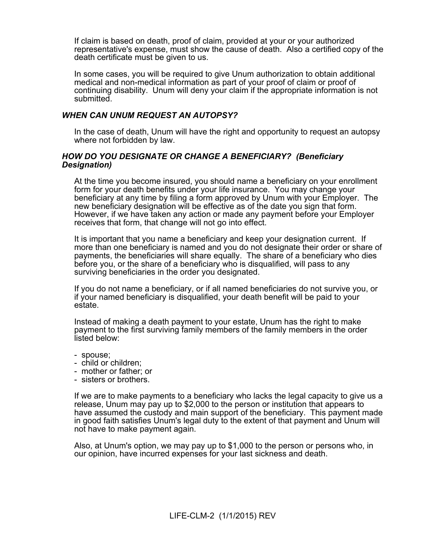If claim is based on death, proof of claim, provided at your or your authorized representative's expense, must show the cause of death. Also a certified copy of the death certificate must be given to us.

In some cases, you will be required to give Unum authorization to obtain additional medical and non-medical information as part of your proof of claim or proof of continuing disability. Unum will deny your claim if the appropriate information is not submitted.

# *WHEN CAN UNUM REQUEST AN AUTOPSY?*

In the case of death, Unum will have the right and opportunity to request an autopsy where not forbidden by law.

# *HOW DO YOU DESIGNATE OR CHANGE A BENEFICIARY? (Beneficiary Designation)*

At the time you become insured, you should name a beneficiary on your enrollment form for your death benefits under your life insurance. You may change your beneficiary at any time by filing a form approved by Unum with your Employer. The new beneficiary designation will be effective as of the date you sign that form. However, if we have taken any action or made any payment before your Employer receives that form, that change will not go into effect.

It is important that you name a beneficiary and keep your designation current. If more than one beneficiary is named and you do not designate their order or share of payments, the beneficiaries will share equally. The share of a beneficiary who dies before you, or the share of a beneficiary who is disqualified, will pass to any surviving beneficiaries in the order you designated.

If you do not name a beneficiary, or if all named beneficiaries do not survive you, or if your named beneficiary is disqualified, your death benefit will be paid to your estate.

Instead of making a death payment to your estate, Unum has the right to make payment to the first surviving family members of the family members in the order listed below:

- spouse;
- child or children;
- mother or father; or
- sisters or brothers.

If we are to make payments to a beneficiary who lacks the legal capacity to give us a release, Unum may pay up to \$2,000 to the person or institution that appears to have assumed the custody and main support of the beneficiary. This payment made in good faith satisfies Unum's legal duty to the extent of that payment and Unum will not have to make payment again.

Also, at Unum's option, we may pay up to \$1,000 to the person or persons who, in our opinion, have incurred expenses for your last sickness and death.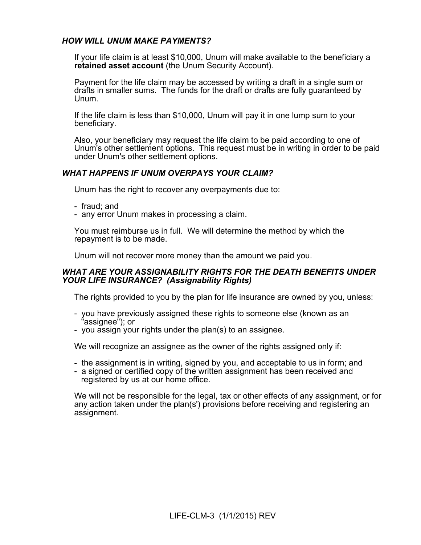# *HOW WILL UNUM MAKE PAYMENTS?*

If your life claim is at least \$10,000, Unum will make available to the beneficiary a **retained asset account** (the Unum Security Account).

Payment for the life claim may be accessed by writing a draft in a single sum or drafts in smaller sums. The funds for the draft or drafts are fully guaranteed by Unum.

If the life claim is less than \$10,000, Unum will pay it in one lump sum to your beneficiary.

Also, your beneficiary may request the life claim to be paid according to one of Unum's other settlement options. This request must be in writing in order to be paid under Unum's other settlement options.

# *WHAT HAPPENS IF UNUM OVERPAYS YOUR CLAIM?*

Unum has the right to recover any overpayments due to:

- fraud; and
- any error Unum makes in processing a claim.

You must reimburse us in full. We will determine the method by which the repayment is to be made.

Unum will not recover more money than the amount we paid you.

# *WHAT ARE YOUR ASSIGNABILITY RIGHTS FOR THE DEATH BENEFITS UNDER YOUR LIFE INSURANCE? (Assignability Rights)*

The rights provided to you by the plan for life insurance are owned by you, unless:

- you have previously assigned these rights to someone else (known as an "assignee"); or
- you assign your rights under the plan(s) to an assignee.

We will recognize an assignee as the owner of the rights assigned only if:

- the assignment is in writing, signed by you, and acceptable to us in form; and
- a signed or certified copy of the written assignment has been received and registered by us at our home office.

We will not be responsible for the legal, tax or other effects of any assignment, or for any action taken under the plan(s') provisions before receiving and registering an assignment.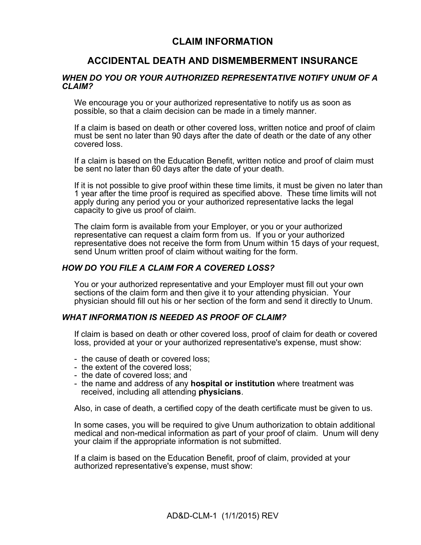# **CLAIM INFORMATION**

# **ACCIDENTAL DEATH AND DISMEMBERMENT INSURANCE**

## *WHEN DO YOU OR YOUR AUTHORIZED REPRESENTATIVE NOTIFY UNUM OF A CLAIM?*

We encourage you or your authorized representative to notify us as soon as possible, so that a claim decision can be made in a timely manner.

If a claim is based on death or other covered loss, written notice and proof of claim must be sent no later than 90 days after the date of death or the date of any other covered loss.

If a claim is based on the Education Benefit, written notice and proof of claim must be sent no later than 60 days after the date of your death.

If it is not possible to give proof within these time limits, it must be given no later than 1 year after the time proof is required as specified above. These time limits will not apply during any period you or your authorized representative lacks the legal capacity to give us proof of claim.

The claim form is available from your Employer, or you or your authorized representative can request a claim form from us. If you or your authorized representative does not receive the form from Unum within 15 days of your request, send Unum written proof of claim without waiting for the form.

# *HOW DO YOU FILE A CLAIM FOR A COVERED LOSS?*

You or your authorized representative and your Employer must fill out your own sections of the claim form and then give it to your attending physician. Your physician should fill out his or her section of the form and send it directly to Unum.

### *WHAT INFORMATION IS NEEDED AS PROOF OF CLAIM?*

If claim is based on death or other covered loss, proof of claim for death or covered loss, provided at your or your authorized representative's expense, must show:

- the cause of death or covered loss;
- the extent of the covered loss;
- the date of covered loss; and
- the name and address of any **hospital or institution** where treatment was received, including all attending **physicians**.

Also, in case of death, a certified copy of the death certificate must be given to us.

In some cases, you will be required to give Unum authorization to obtain additional medical and non-medical information as part of your proof of claim. Unum will deny your claim if the appropriate information is not submitted.

If a claim is based on the Education Benefit, proof of claim, provided at your authorized representative's expense, must show: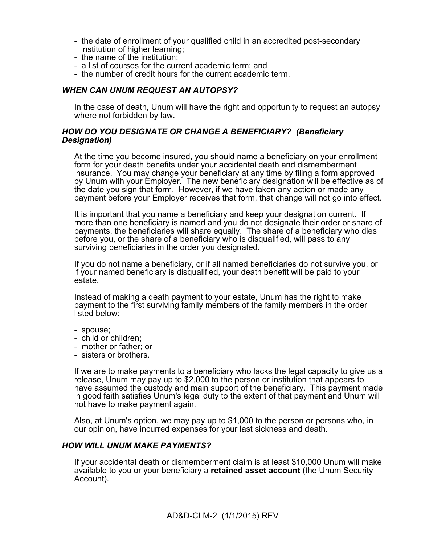- the date of enrollment of your qualified child in an accredited post-secondary institution of higher learning;
- the name of the institution;
- a list of courses for the current academic term; and
- the number of credit hours for the current academic term.

# *WHEN CAN UNUM REQUEST AN AUTOPSY?*

In the case of death, Unum will have the right and opportunity to request an autopsy where not forbidden by law.

# *HOW DO YOU DESIGNATE OR CHANGE A BENEFICIARY? (Beneficiary Designation)*

At the time you become insured, you should name a beneficiary on your enrollment form for your death benefits under your accidental death and dismemberment insurance. You may change your beneficiary at any time by filing a form approved by Unum with your Employer. The new beneficiary designation will be effective as of the date you sign that form. However, if we have taken any action or made any payment before your Employer receives that form, that change will not go into effect.

It is important that you name a beneficiary and keep your designation current. If more than one beneficiary is named and you do not designate their order or share of payments, the beneficiaries will share equally. The share of a beneficiary who dies before you, or the share of a beneficiary who is disqualified, will pass to any surviving beneficiaries in the order you designated.

If you do not name a beneficiary, or if all named beneficiaries do not survive you, or if your named beneficiary is disqualified, your death benefit will be paid to your estate.

Instead of making a death payment to your estate, Unum has the right to make payment to the first surviving family members of the family members in the order listed below:

- spouse;
- child or children;
- mother or father; or
- sisters or brothers.

If we are to make payments to a beneficiary who lacks the legal capacity to give us a release, Unum may pay up to \$2,000 to the person or institution that appears to have assumed the custody and main support of the beneficiary. This payment made in good faith satisfies Unum's legal duty to the extent of that payment and Unum will not have to make payment again.

Also, at Unum's option, we may pay up to \$1,000 to the person or persons who, in our opinion, have incurred expenses for your last sickness and death.

### *HOW WILL UNUM MAKE PAYMENTS?*

If your accidental death or dismemberment claim is at least \$10,000 Unum will make available to you or your beneficiary a **retained asset account** (the Unum Security Account).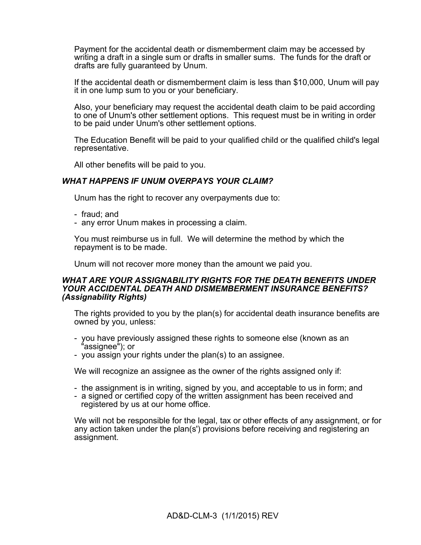Payment for the accidental death or dismemberment claim may be accessed by writing a draft in a single sum or drafts in smaller sums. The funds for the draft or drafts are fully guaranteed by Unum.

If the accidental death or dismemberment claim is less than \$10,000, Unum will pay it in one lump sum to you or your beneficiary.

Also, your beneficiary may request the accidental death claim to be paid according to one of Unum's other settlement options. This request must be in writing in order to be paid under Unum's other settlement options.

The Education Benefit will be paid to your qualified child or the qualified child's legal representative.

All other benefits will be paid to you.

# *WHAT HAPPENS IF UNUM OVERPAYS YOUR CLAIM?*

Unum has the right to recover any overpayments due to:

- fraud; and
- any error Unum makes in processing a claim.

You must reimburse us in full. We will determine the method by which the repayment is to be made.

Unum will not recover more money than the amount we paid you.

### *WHAT ARE YOUR ASSIGNABILITY RIGHTS FOR THE DEATH BENEFITS UNDER YOUR ACCIDENTAL DEATH AND DISMEMBERMENT INSURANCE BENEFITS? (Assignability Rights)*

The rights provided to you by the plan(s) for accidental death insurance benefits are owned by you, unless:

- you have previously assigned these rights to someone else (known as an 'assignee"); or
- you assign your rights under the plan(s) to an assignee.

We will recognize an assignee as the owner of the rights assigned only if:

- the assignment is in writing, signed by you, and acceptable to us in form; and
- a signed or certified copy of the written assignment has been received and registered by us at our home office.

We will not be responsible for the legal, tax or other effects of any assignment, or for any action taken under the plan(s') provisions before receiving and registering an assignment.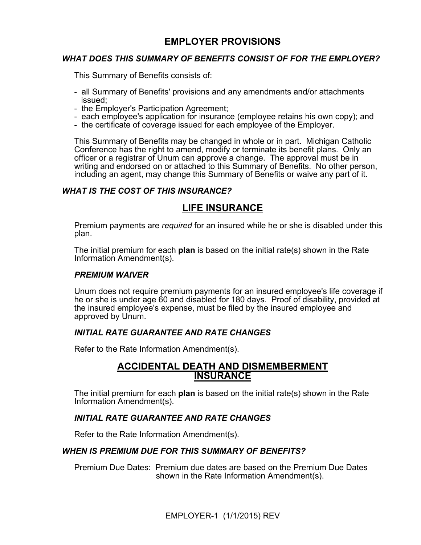# **EMPLOYER PROVISIONS**

# *WHAT DOES THIS SUMMARY OF BENEFITS CONSIST OF FOR THE EMPLOYER?*

This Summary of Benefits consists of:

- all Summary of Benefits' provisions and any amendments and/or attachments issued;
- the Employer's Participation Agreement;
- each employee's application for insurance (employee retains his own copy); and
- the certificate of coverage issued for each employee of the Employer.

This Summary of Benefits may be changed in whole or in part. Michigan Catholic Conference has the right to amend, modify or terminate its benefit plans. Only an officer or a registrar of Unum can approve a change. The approval must be in writing and endorsed on or attached to this Summary of Benefits. No other person, including an agent, may change this Summary of Benefits or waive any part of it.

# *WHAT IS THE COST OF THIS INSURANCE?*

# **LIFE INSURANCE**

Premium payments are *required* for an insured while he or she is disabled under this plan.

The initial premium for each **plan** is based on the initial rate(s) shown in the Rate Information Amendment(s).

# *PREMIUM WAIVER*

Unum does not require premium payments for an insured employee's life coverage if he or she is under age 60 and disabled for 180 days. Proof of disability, provided at the insured employee's expense, must be filed by the insured employee and approved by Unum.

# *INITIAL RATE GUARANTEE AND RATE CHANGES*

Refer to the Rate Information Amendment(s).

# **ACCIDENTAL DEATH AND DISMEMBERMENT INSURANCE**

The initial premium for each **plan** is based on the initial rate(s) shown in the Rate Information Amendment(s).

# *INITIAL RATE GUARANTEE AND RATE CHANGES*

Refer to the Rate Information Amendment(s).

# *WHEN IS PREMIUM DUE FOR THIS SUMMARY OF BENEFITS?*

Premium Due Dates: Premium due dates are based on the Premium Due Dates shown in the Rate Information Amendment(s).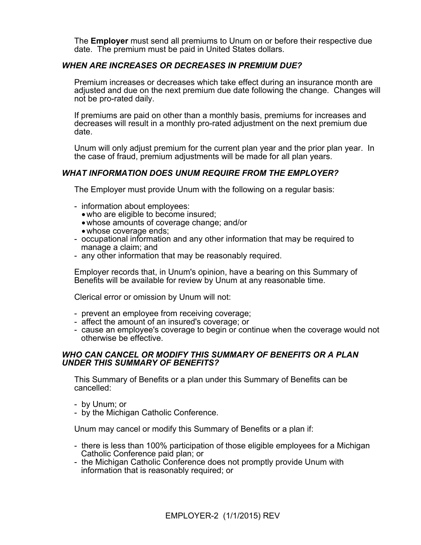The **Employer** must send all premiums to Unum on or before their respective due date. The premium must be paid in United States dollars.

# *WHEN ARE INCREASES OR DECREASES IN PREMIUM DUE?*

Premium increases or decreases which take effect during an insurance month are adjusted and due on the next premium due date following the change. Changes will not be pro-rated daily.

If premiums are paid on other than a monthly basis, premiums for increases and decreases will result in a monthly pro-rated adjustment on the next premium due date.

Unum will only adjust premium for the current plan year and the prior plan year. In the case of fraud, premium adjustments will be made for all plan years.

# *WHAT INFORMATION DOES UNUM REQUIRE FROM THE EMPLOYER?*

The Employer must provide Unum with the following on a regular basis:

- information about employees:
	- who are eligible to become insured;
	- whose amounts of coverage change; and/or
	- whose coverage ends;
- occupational information and any other information that may be required to manage a claim; and
- any other information that may be reasonably required.

Employer records that, in Unum's opinion, have a bearing on this Summary of Benefits will be available for review by Unum at any reasonable time.

Clerical error or omission by Unum will not:

- prevent an employee from receiving coverage;
- affect the amount of an insured's coverage; or
- cause an employee's coverage to begin or continue when the coverage would not otherwise be effective.

# *WHO CAN CANCEL OR MODIFY THIS SUMMARY OF BENEFITS OR A PLAN UNDER THIS SUMMARY OF BENEFITS?*

This Summary of Benefits or a plan under this Summary of Benefits can be cancelled:

- by Unum; or
- by the Michigan Catholic Conference.

Unum may cancel or modify this Summary of Benefits or a plan if:

- there is less than 100% participation of those eligible employees for a Michigan Catholic Conference paid plan; or
- the Michigan Catholic Conference does not promptly provide Unum with information that is reasonably required; or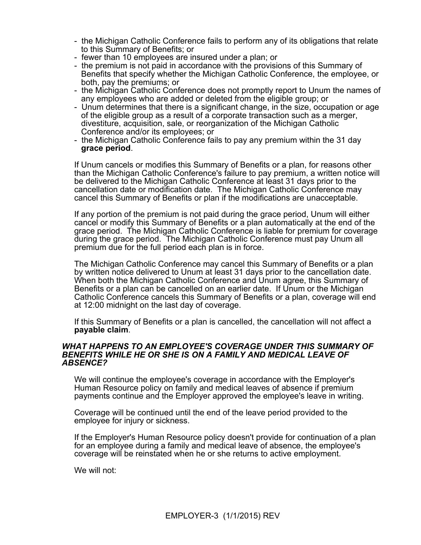- the Michigan Catholic Conference fails to perform any of its obligations that relate to this Summary of Benefits; or
- fewer than 10 employees are insured under a plan; or
- the premium is not paid in accordance with the provisions of this Summary of Benefits that specify whether the Michigan Catholic Conference, the employee, or both, pay the premiums; or
- the Michigan Catholic Conference does not promptly report to Unum the names of any employees who are added or deleted from the eligible group; or
- Unum determines that there is a significant change, in the size, occupation or age of the eligible group as a result of a corporate transaction such as a merger, divestiture, acquisition, sale, or reorganization of the Michigan Catholic Conference and/or its employees; or
- the Michigan Catholic Conference fails to pay any premium within the 31 day **grace period**.

If Unum cancels or modifies this Summary of Benefits or a plan, for reasons other than the Michigan Catholic Conference's failure to pay premium, a written notice will be delivered to the Michigan Catholic Conference at least 31 days prior to the cancellation date or modification date. The Michigan Catholic Conference may cancel this Summary of Benefits or plan if the modifications are unacceptable.

If any portion of the premium is not paid during the grace period, Unum will either cancel or modify this Summary of Benefits or a plan automatically at the end of the grace period. The Michigan Catholic Conference is liable for premium for coverage during the grace period. The Michigan Catholic Conference must pay Unum all premium due for the full period each plan is in force.

The Michigan Catholic Conference may cancel this Summary of Benefits or a plan by written notice delivered to Unum at least 31 days prior to the cancellation date. When both the Michigan Catholic Conference and Unum agree, this Summary of Benefits or a plan can be cancelled on an earlier date. If Unum or the Michigan Catholic Conference cancels this Summary of Benefits or a plan, coverage will end at 12:00 midnight on the last day of coverage.

If this Summary of Benefits or a plan is cancelled, the cancellation will not affect a **payable claim**.

### *WHAT HAPPENS TO AN EMPLOYEE'S COVERAGE UNDER THIS SUMMARY OF BENEFITS WHILE HE OR SHE IS ON A FAMILY AND MEDICAL LEAVE OF ABSENCE?*

We will continue the employee's coverage in accordance with the Employer's Human Resource policy on family and medical leaves of absence if premium payments continue and the Employer approved the employee's leave in writing.

Coverage will be continued until the end of the leave period provided to the employee for injury or sickness.

If the Employer's Human Resource policy doesn't provide for continuation of a plan for an employee during a family and medical leave of absence, the employee's coverage will be reinstated when he or she returns to active employment.

We will not: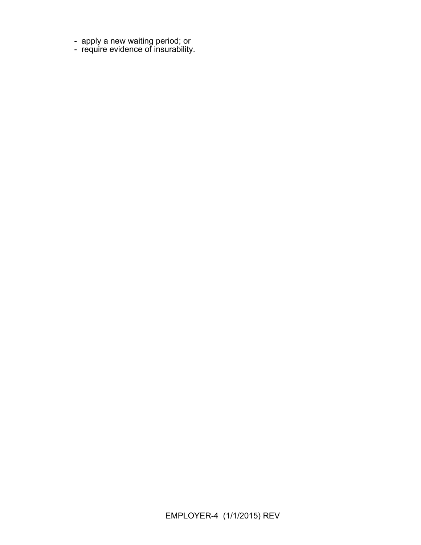- apply a new waiting period; or
- require evidence of insurability.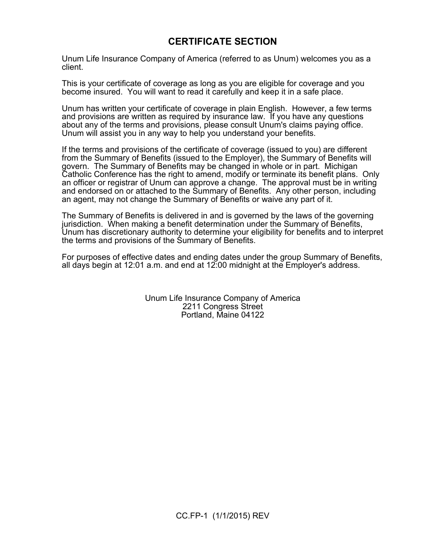# **CERTIFICATE SECTION**

Unum Life Insurance Company of America (referred to as Unum) welcomes you as a client.

This is your certificate of coverage as long as you are eligible for coverage and you become insured. You will want to read it carefully and keep it in a safe place.

Unum has written your certificate of coverage in plain English. However, a few terms and provisions are written as required by insurance law. If you have any questions about any of the terms and provisions, please consult Unum's claims paying office. Unum will assist you in any way to help you understand your benefits.

If the terms and provisions of the certificate of coverage (issued to you) are different from the Summary of Benefits (issued to the Employer), the Summary of Benefits will govern. The Summary of Benefits may be changed in whole or in part. Michigan Catholic Conference has the right to amend, modify or terminate its benefit plans. Only an officer or registrar of Unum can approve a change. The approval must be in writing and endorsed on or attached to the Summary of Benefits. Any other person, including an agent, may not change the Summary of Benefits or waive any part of it.

The Summary of Benefits is delivered in and is governed by the laws of the governing jurisdiction. When making a benefit determination under the Summary of Benefits, Unum has discretionary authority to determine your eligibility for benefits and to interpret the terms and provisions of the Summary of Benefits.

For purposes of effective dates and ending dates under the group Summary of Benefits, all days begin at 12:01 a.m. and end at 12:00 midnight at the Employer's address.

> Unum Life Insurance Company of America 2211 Congress Street Portland, Maine 04122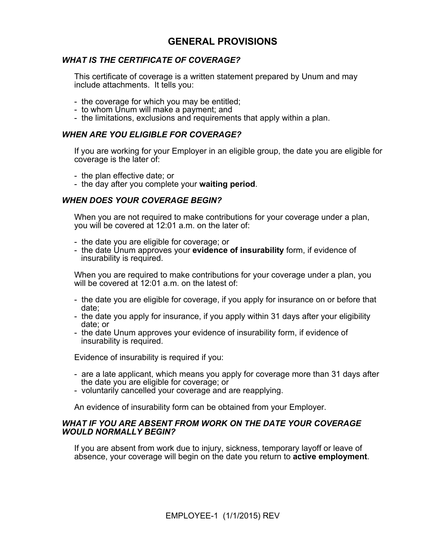# **GENERAL PROVISIONS**

# *WHAT IS THE CERTIFICATE OF COVERAGE?*

This certificate of coverage is a written statement prepared by Unum and may include attachments. It tells you:

- the coverage for which you may be entitled;
- to whom Unum will make a payment; and
- the limitations, exclusions and requirements that apply within a plan.

## *WHEN ARE YOU ELIGIBLE FOR COVERAGE?*

If you are working for your Employer in an eligible group, the date you are eligible for coverage is the later of:

- the plan effective date; or
- the day after you complete your **waiting period**.

# *WHEN DOES YOUR COVERAGE BEGIN?*

When you are not required to make contributions for your coverage under a plan, you will be covered at 12:01 a.m. on the later of:

- the date you are eligible for coverage; or
- the date Unum approves your **evidence of insurability** form, if evidence of insurability is required.

When you are required to make contributions for your coverage under a plan, you will be covered at 12:01 a.m. on the latest of:

- the date you are eligible for coverage, if you apply for insurance on or before that date;
- the date you apply for insurance, if you apply within 31 days after your eligibility date; or
- the date Unum approves your evidence of insurability form, if evidence of insurability is required.

Evidence of insurability is required if you:

- are a late applicant, which means you apply for coverage more than 31 days after the date you are eligible for coverage; or
- voluntarily cancelled your coverage and are reapplying.

An evidence of insurability form can be obtained from your Employer.

### *WHAT IF YOU ARE ABSENT FROM WORK ON THE DATE YOUR COVERAGE WOULD NORMALLY BEGIN?*

If you are absent from work due to injury, sickness, temporary layoff or leave of absence, your coverage will begin on the date you return to **active employment**.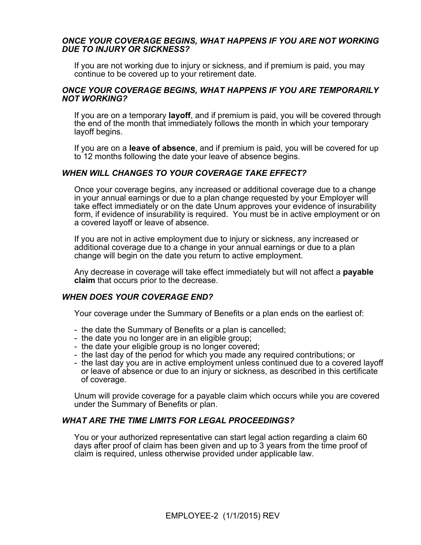# *ONCE YOUR COVERAGE BEGINS, WHAT HAPPENS IF YOU ARE NOT WORKING DUE TO INJURY OR SICKNESS?*

If you are not working due to injury or sickness, and if premium is paid, you may continue to be covered up to your retirement date.

### *ONCE YOUR COVERAGE BEGINS, WHAT HAPPENS IF YOU ARE TEMPORARILY NOT WORKING?*

If you are on a temporary **layoff**, and if premium is paid, you will be covered through the end of the month that immediately follows the month in which your temporary layoff begins.

If you are on a **leave of absence**, and if premium is paid, you will be covered for up to 12 months following the date your leave of absence begins.

# *WHEN WILL CHANGES TO YOUR COVERAGE TAKE EFFECT?*

Once your coverage begins, any increased or additional coverage due to a change in your annual earnings or due to a plan change requested by your Employer will take effect immediately or on the date Unum approves your evidence of insurability form, if evidence of insurability is required. You must be in active employment or on a covered layoff or leave of absence.

If you are not in active employment due to injury or sickness, any increased or additional coverage due to a change in your annual earnings or due to a plan change will begin on the date you return to active employment.

Any decrease in coverage will take effect immediately but will not affect a **payable claim** that occurs prior to the decrease.

### *WHEN DOES YOUR COVERAGE END?*

Your coverage under the Summary of Benefits or a plan ends on the earliest of:

- the date the Summary of Benefits or a plan is cancelled;
- the date you no longer are in an eligible group;
- the date your eligible group is no longer covered;
- the last day of the period for which you made any required contributions; or
- the last day you are in active employment unless continued due to a covered layoff or leave of absence or due to an injury or sickness, as described in this certificate of coverage.

Unum will provide coverage for a payable claim which occurs while you are covered under the Summary of Benefits or plan.

### *WHAT ARE THE TIME LIMITS FOR LEGAL PROCEEDINGS?*

You or your authorized representative can start legal action regarding a claim 60 days after proof of claim has been given and up to 3 years from the time proof of claim is required, unless otherwise provided under applicable law.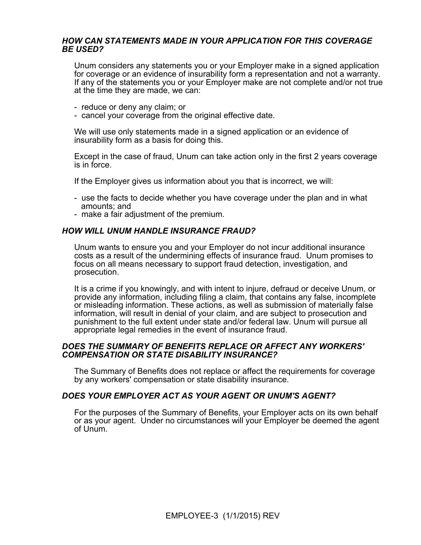# *HOW CAN STATEMENTS MADE IN YOUR APPLICATION FOR THIS COVERAGE BE USED?*

Unum considers any statements you or your Employer make in a signed application for coverage or an evidence of insurability form a representation and not a warranty. If any of the statements you or your Employer make are not complete and/or not true at the time they are made, we can:

- reduce or deny any claim; or
- cancel your coverage from the original effective date.

We will use only statements made in a signed application or an evidence of insurability form as a basis for doing this.

Except in the case of fraud, Unum can take action only in the first 2 years coverage is in force.

If the Employer gives us information about you that is incorrect, we will:

- use the facts to decide whether you have coverage under the plan and in what amounts; and
- make a fair adjustment of the premium.

# *HOW WILL UNUM HANDLE INSURANCE FRAUD?*

Unum wants to ensure you and your Employer do not incur additional insurance costs as a result of the undermining effects of insurance fraud. Unum promises to focus on all means necessary to support fraud detection, investigation, and prosecution.

It is a crime if you knowingly, and with intent to injure, defraud or deceive Unum, or provide any information, including filing a claim, that contains any false, incomplete or misleading information. These actions, as well as submission of materially false information, will result in denial of your claim, and are subject to prosecution and punishment to the full extent under state and/or federal law. Unum will pursue all appropriate legal remedies in the event of insurance fraud.

### *DOES THE SUMMARY OF BENEFITS REPLACE OR AFFECT ANY WORKERS' COMPENSATION OR STATE DISABILITY INSURANCE?*

The Summary of Benefits does not replace or affect the requirements for coverage by any workers' compensation or state disability insurance.

# *DOES YOUR EMPLOYER ACT AS YOUR AGENT OR UNUM'S AGENT?*

For the purposes of the Summary of Benefits, your Employer acts on its own behalf or as your agent. Under no circumstances will your Employer be deemed the agent of Unum.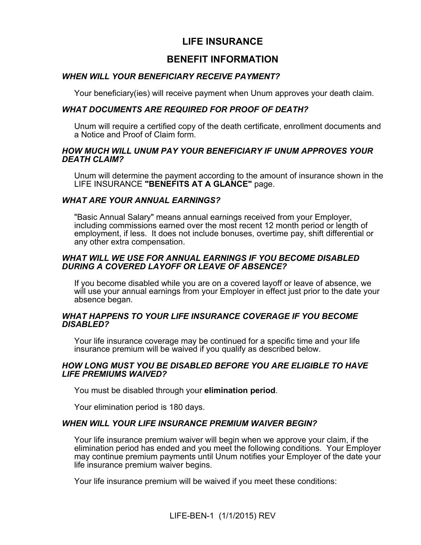# **LIFE INSURANCE**

# **BENEFIT INFORMATION**

# *WHEN WILL YOUR BENEFICIARY RECEIVE PAYMENT?*

Your beneficiary(ies) will receive payment when Unum approves your death claim.

# *WHAT DOCUMENTS ARE REQUIRED FOR PROOF OF DEATH?*

Unum will require a certified copy of the death certificate, enrollment documents and a Notice and Proof of Claim form.

# *HOW MUCH WILL UNUM PAY YOUR BENEFICIARY IF UNUM APPROVES YOUR DEATH CLAIM?*

Unum will determine the payment according to the amount of insurance shown in the LIFE INSURANCE **"BENEFITS AT A GLANCE"** page.

# *WHAT ARE YOUR ANNUAL EARNINGS?*

"Basic Annual Salary" means annual earnings received from your Employer, including commissions earned over the most recent 12 month period or length of employment, if less. It does not include bonuses, overtime pay, shift differential or any other extra compensation.

# *WHAT WILL WE USE FOR ANNUAL EARNINGS IF YOU BECOME DISABLED DURING A COVERED LAYOFF OR LEAVE OF ABSENCE?*

If you become disabled while you are on a covered layoff or leave of absence, we will use your annual earnings from your Employer in effect just prior to the date your absence began.

# *WHAT HAPPENS TO YOUR LIFE INSURANCE COVERAGE IF YOU BECOME DISABLED?*

Your life insurance coverage may be continued for a specific time and your life insurance premium will be waived if you qualify as described below.

# *HOW LONG MUST YOU BE DISABLED BEFORE YOU ARE ELIGIBLE TO HAVE LIFE PREMIUMS WAIVED?*

You must be disabled through your **elimination period**.

Your elimination period is 180 days.

# *WHEN WILL YOUR LIFE INSURANCE PREMIUM WAIVER BEGIN?*

Your life insurance premium waiver will begin when we approve your claim, if the elimination period has ended and you meet the following conditions. Your Employer may continue premium payments until Unum notifies your Employer of the date your life insurance premium waiver begins.

Your life insurance premium will be waived if you meet these conditions: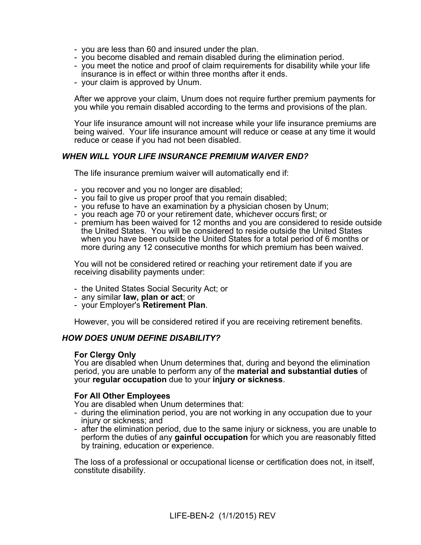- you are less than 60 and insured under the plan.
- you become disabled and remain disabled during the elimination period.
- you meet the notice and proof of claim requirements for disability while your life insurance is in effect or within three months after it ends.
- your claim is approved by Unum.

After we approve your claim, Unum does not require further premium payments for you while you remain disabled according to the terms and provisions of the plan.

Your life insurance amount will not increase while your life insurance premiums are being waived. Your life insurance amount will reduce or cease at any time it would reduce or cease if you had not been disabled.

# *WHEN WILL YOUR LIFE INSURANCE PREMIUM WAIVER END?*

The life insurance premium waiver will automatically end if:

- you recover and you no longer are disabled;
- you fail to give us proper proof that you remain disabled;
- you refuse to have an examination by a physician chosen by Unum;
- you reach age 70 or your retirement date, whichever occurs first; or
- premium has been waived for 12 months and you are considered to reside outside the United States. You will be considered to reside outside the United States when you have been outside the United States for a total period of 6 months or more during any 12 consecutive months for which premium has been waived.

You will not be considered retired or reaching your retirement date if you are receiving disability payments under:

- the United States Social Security Act; or
- any similar **law, plan or act**; or
- your Employer's **Retirement Plan**.

However, you will be considered retired if you are receiving retirement benefits.

# *HOW DOES UNUM DEFINE DISABILITY?*

### **For Clergy Only**

You are disabled when Unum determines that, during and beyond the elimination period, you are unable to perform any of the **material and substantial duties** of your **regular occupation** due to your **injury or sickness**.

# **For All Other Employees**

You are disabled when Unum determines that:

- during the elimination period, you are not working in any occupation due to your injury or sickness; and
- after the elimination period, due to the same injury or sickness, you are unable to perform the duties of any **gainful occupation** for which you are reasonably fitted by training, education or experience.

The loss of a professional or occupational license or certification does not, in itself, constitute disability.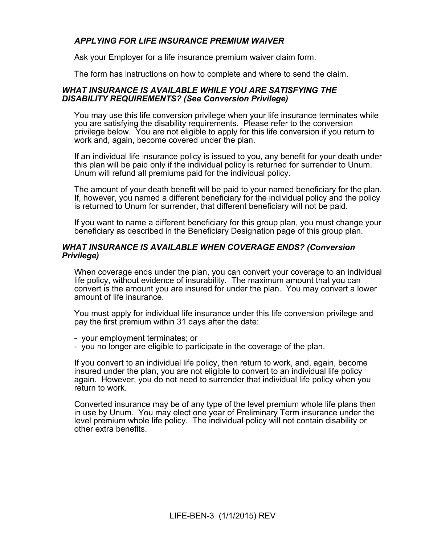# *APPLYING FOR LIFE INSURANCE PREMIUM WAIVER*

Ask your Employer for a life insurance premium waiver claim form.

The form has instructions on how to complete and where to send the claim.

### *WHAT INSURANCE IS AVAILABLE WHILE YOU ARE SATISFYING THE DISABILITY REQUIREMENTS? (See Conversion Privilege)*

You may use this life conversion privilege when your life insurance terminates while you are satisfying the disability requirements. Please refer to the conversion privilege below. You are not eligible to apply for this life conversion if you return to work and, again, become covered under the plan.

If an individual life insurance policy is issued to you, any benefit for your death under this plan will be paid only if the individual policy is returned for surrender to Unum. Unum will refund all premiums paid for the individual policy.

The amount of your death benefit will be paid to your named beneficiary for the plan. If, however, you named a different beneficiary for the individual policy and the policy is returned to Unum for surrender, that different beneficiary will not be paid.

If you want to name a different beneficiary for this group plan, you must change your beneficiary as described in the Beneficiary Designation page of this group plan.

## *WHAT INSURANCE IS AVAILABLE WHEN COVERAGE ENDS? (Conversion Privilege)*

When coverage ends under the plan, you can convert your coverage to an individual life policy, without evidence of insurability. The maximum amount that you can convert is the amount you are insured for under the plan. You may convert a lower amount of life insurance.

You must apply for individual life insurance under this life conversion privilege and pay the first premium within 31 days after the date:

- your employment terminates; or

- you no longer are eligible to participate in the coverage of the plan.

If you convert to an individual life policy, then return to work, and, again, become insured under the plan, you are not eligible to convert to an individual life policy again. However, you do not need to surrender that individual life policy when you return to work.

Converted insurance may be of any type of the level premium whole life plans then in use by Unum. You may elect one year of Preliminary Term insurance under the level premium whole life policy. The individual policy will not contain disability or other extra benefits.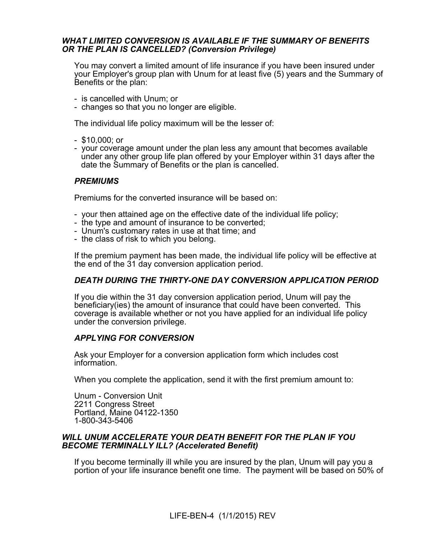# *WHAT LIMITED CONVERSION IS AVAILABLE IF THE SUMMARY OF BENEFITS OR THE PLAN IS CANCELLED? (Conversion Privilege)*

You may convert a limited amount of life insurance if you have been insured under your Employer's group plan with Unum for at least five (5) years and the Summary of Benefits or the plan:

- is cancelled with Unum; or
- changes so that you no longer are eligible.

The individual life policy maximum will be the lesser of:

- \$10,000; or
- your coverage amount under the plan less any amount that becomes available under any other group life plan offered by your Employer within 31 days after the date the Summary of Benefits or the plan is cancelled.

# *PREMIUMS*

Premiums for the converted insurance will be based on:

- your then attained age on the effective date of the individual life policy;
- the type and amount of insurance to be converted;
- Unum's customary rates in use at that time; and
- the class of risk to which you belong.

If the premium payment has been made, the individual life policy will be effective at the end of the 31 day conversion application period.

# *DEATH DURING THE THIRTY-ONE DAY CONVERSION APPLICATION PERIOD*

If you die within the 31 day conversion application period, Unum will pay the beneficiary(ies) the amount of insurance that could have been converted. This coverage is available whether or not you have applied for an individual life policy under the conversion privilege.

# *APPLYING FOR CONVERSION*

Ask your Employer for a conversion application form which includes cost information.

When you complete the application, send it with the first premium amount to:

Unum - Conversion Unit 2211 Congress Street Portland, Maine 04122-1350 1-800-343-5406

# *WILL UNUM ACCELERATE YOUR DEATH BENEFIT FOR THE PLAN IF YOU BECOME TERMINALLY ILL? (Accelerated Benefit)*

If you become terminally ill while you are insured by the plan, Unum will pay you a portion of your life insurance benefit one time. The payment will be based on 50% of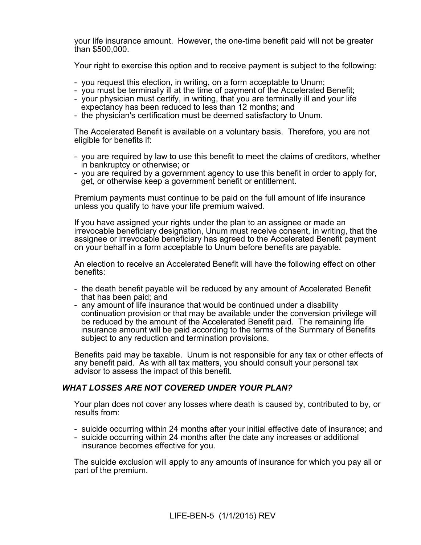your life insurance amount. However, the one-time benefit paid will not be greater than \$500,000.

Your right to exercise this option and to receive payment is subject to the following:

- you request this election, in writing, on a form acceptable to Unum;
- you must be terminally ill at the time of payment of the Accelerated Benefit;
- your physician must certify, in writing, that you are terminally ill and your life expectancy has been reduced to less than 12 months; and
- the physician's certification must be deemed satisfactory to Unum.

The Accelerated Benefit is available on a voluntary basis. Therefore, you are not eligible for benefits if:

- you are required by law to use this benefit to meet the claims of creditors, whether in bankruptcy or otherwise; or
- you are required by a government agency to use this benefit in order to apply for, get, or otherwise keep a government benefit or entitlement.

Premium payments must continue to be paid on the full amount of life insurance unless you qualify to have your life premium waived.

If you have assigned your rights under the plan to an assignee or made an irrevocable beneficiary designation, Unum must receive consent, in writing, that the assignee or irrevocable beneficiary has agreed to the Accelerated Benefit payment on your behalf in a form acceptable to Unum before benefits are payable.

An election to receive an Accelerated Benefit will have the following effect on other benefits:

- the death benefit payable will be reduced by any amount of Accelerated Benefit that has been paid; and
- any amount of life insurance that would be continued under a disability continuation provision or that may be available under the conversion privilege will be reduced by the amount of the Accelerated Benefit paid. The remaining life insurance amount will be paid according to the terms of the Summary of Benefits subject to any reduction and termination provisions.

Benefits paid may be taxable. Unum is not responsible for any tax or other effects of any benefit paid. As with all tax matters, you should consult your personal tax advisor to assess the impact of this benefit.

# *WHAT LOSSES ARE NOT COVERED UNDER YOUR PLAN?*

Your plan does not cover any losses where death is caused by, contributed to by, or results from:

- suicide occurring within 24 months after your initial effective date of insurance; and
- suicide occurring within 24 months after the date any increases or additional insurance becomes effective for you.

The suicide exclusion will apply to any amounts of insurance for which you pay all or part of the premium.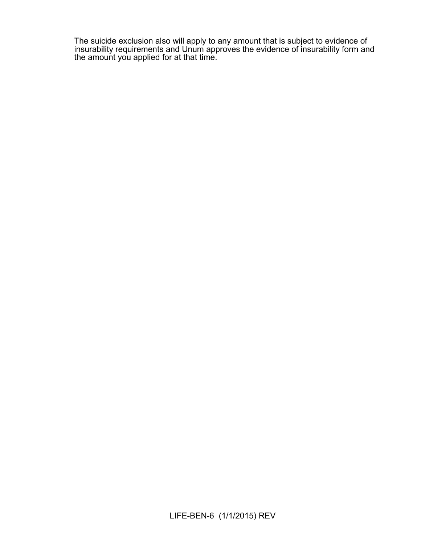The suicide exclusion also will apply to any amount that is subject to evidence of insurability requirements and Unum approves the evidence of insurability form and the amount you applied for at that time.

LIFE-BEN-6 (1/1/2015) REV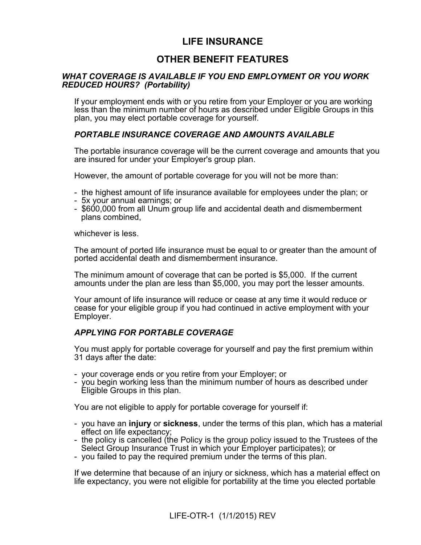# **LIFE INSURANCE**

# **OTHER BENEFIT FEATURES**

# *WHAT COVERAGE IS AVAILABLE IF YOU END EMPLOYMENT OR YOU WORK REDUCED HOURS? (Portability)*

If your employment ends with or you retire from your Employer or you are working less than the minimum number of hours as described under Eligible Groups in this plan, you may elect portable coverage for yourself.

# *PORTABLE INSURANCE COVERAGE AND AMOUNTS AVAILABLE*

The portable insurance coverage will be the current coverage and amounts that you are insured for under your Employer's group plan.

However, the amount of portable coverage for you will not be more than:

- the highest amount of life insurance available for employees under the plan; or
- 5x your annual earnings; or
- \$600,000 from all Unum group life and accidental death and dismemberment plans combined,

whichever is less.

The amount of ported life insurance must be equal to or greater than the amount of ported accidental death and dismemberment insurance.

The minimum amount of coverage that can be ported is \$5,000. If the current amounts under the plan are less than \$5,000, you may port the lesser amounts.

Your amount of life insurance will reduce or cease at any time it would reduce or cease for your eligible group if you had continued in active employment with your Employer.

# *APPLYING FOR PORTABLE COVERAGE*

You must apply for portable coverage for yourself and pay the first premium within 31 days after the date:

- your coverage ends or you retire from your Employer; or
- you begin working less than the minimum number of hours as described under Eligible Groups in this plan.

You are not eligible to apply for portable coverage for yourself if:

- you have an **injury** or **sickness**, under the terms of this plan, which has a material effect on life expectancy;
- the policy is cancelled (the Policy is the group policy issued to the Trustees of the Select Group Insurance Trust in which your Employer participates); or
- you failed to pay the required premium under the terms of this plan.

If we determine that because of an injury or sickness, which has a material effect on life expectancy, you were not eligible for portability at the time you elected portable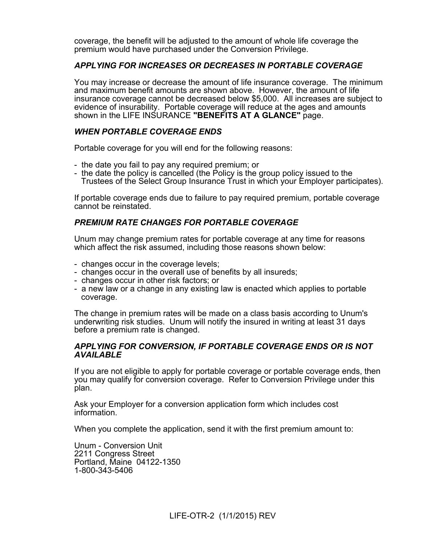coverage, the benefit will be adjusted to the amount of whole life coverage the premium would have purchased under the Conversion Privilege.

# *APPLYING FOR INCREASES OR DECREASES IN PORTABLE COVERAGE*

You may increase or decrease the amount of life insurance coverage. The minimum and maximum benefit amounts are shown above. However, the amount of life insurance coverage cannot be decreased below \$5,000. All increases are subject to evidence of insurability. Portable coverage will reduce at the ages and amounts shown in the LIFE INSURANCE **"BENEFITS AT A GLANCE"** page.

# *WHEN PORTABLE COVERAGE ENDS*

Portable coverage for you will end for the following reasons:

- the date you fail to pay any required premium; or
- the date the policy is cancelled (the Policy is the group policy issued to the Trustees of the Select Group Insurance Trust in which your Employer participates).

If portable coverage ends due to failure to pay required premium, portable coverage cannot be reinstated.

# *PREMIUM RATE CHANGES FOR PORTABLE COVERAGE*

Unum may change premium rates for portable coverage at any time for reasons which affect the risk assumed, including those reasons shown below:

- changes occur in the coverage levels;
- changes occur in the overall use of benefits by all insureds;
- changes occur in other risk factors; or
- a new law or a change in any existing law is enacted which applies to portable coverage.

The change in premium rates will be made on a class basis according to Unum's underwriting risk studies. Unum will notify the insured in writing at least 31 days before a premium rate is changed.

### *APPLYING FOR CONVERSION, IF PORTABLE COVERAGE ENDS OR IS NOT AVAILABLE*

If you are not eligible to apply for portable coverage or portable coverage ends, then you may qualify for conversion coverage. Refer to Conversion Privilege under this plan.

Ask your Employer for a conversion application form which includes cost information.

When you complete the application, send it with the first premium amount to:

Unum - Conversion Unit 2211 Congress Street Portland, Maine 04122-1350 1-800-343-5406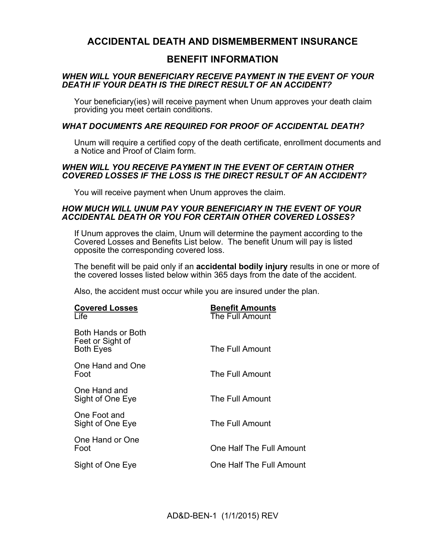# **ACCIDENTAL DEATH AND DISMEMBERMENT INSURANCE**

# **BENEFIT INFORMATION**

# *WHEN WILL YOUR BENEFICIARY RECEIVE PAYMENT IN THE EVENT OF YOUR DEATH IF YOUR DEATH IS THE DIRECT RESULT OF AN ACCIDENT?*

Your beneficiary(ies) will receive payment when Unum approves your death claim providing you meet certain conditions.

# *WHAT DOCUMENTS ARE REQUIRED FOR PROOF OF ACCIDENTAL DEATH?*

Unum will require a certified copy of the death certificate, enrollment documents and a Notice and Proof of Claim form.

# *WHEN WILL YOU RECEIVE PAYMENT IN THE EVENT OF CERTAIN OTHER COVERED LOSSES IF THE LOSS IS THE DIRECT RESULT OF AN ACCIDENT?*

You will receive payment when Unum approves the claim.

# *HOW MUCH WILL UNUM PAY YOUR BENEFICIARY IN THE EVENT OF YOUR ACCIDENTAL DEATH OR YOU FOR CERTAIN OTHER COVERED LOSSES?*

If Unum approves the claim, Unum will determine the payment according to the Covered Losses and Benefits List below. The benefit Unum will pay is listed opposite the corresponding covered loss.

The benefit will be paid only if an **accidental bodily injury** results in one or more of the covered losses listed below within 365 days from the date of the accident.

Also, the accident must occur while you are insured under the plan.

| <b>Covered Losses</b><br>Life                              | <b>Benefit Amounts</b><br>The Full Amount |
|------------------------------------------------------------|-------------------------------------------|
| Both Hands or Both<br>Feet or Sight of<br><b>Both Eyes</b> | The Full Amount                           |
| One Hand and One<br>Foot                                   | The Full Amount                           |
| One Hand and<br>Sight of One Eye                           | The Full Amount                           |
| One Foot and<br>Sight of One Eye                           | The Full Amount                           |
| One Hand or One<br>Foot                                    | One Half The Full Amount                  |
| Sight of One Eye                                           | One Half The Full Amount                  |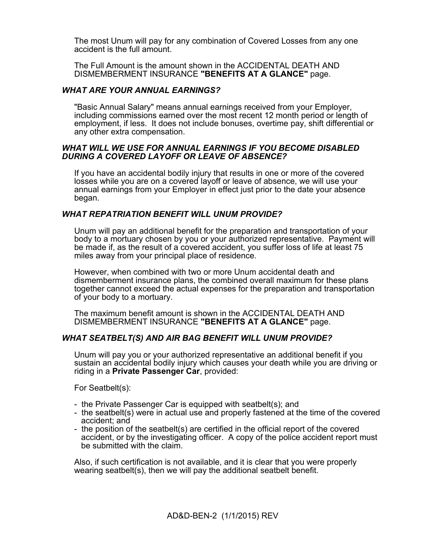The most Unum will pay for any combination of Covered Losses from any one accident is the full amount.

The Full Amount is the amount shown in the ACCIDENTAL DEATH AND DISMEMBERMENT INSURANCE **"BENEFITS AT A GLANCE"** page.

# *WHAT ARE YOUR ANNUAL EARNINGS?*

"Basic Annual Salary" means annual earnings received from your Employer, including commissions earned over the most recent 12 month period or length of employment, if less. It does not include bonuses, overtime pay, shift differential or any other extra compensation.

# *WHAT WILL WE USE FOR ANNUAL EARNINGS IF YOU BECOME DISABLED DURING A COVERED LAYOFF OR LEAVE OF ABSENCE?*

If you have an accidental bodily injury that results in one or more of the covered losses while you are on a covered layoff or leave of absence, we will use your annual earnings from your Employer in effect just prior to the date your absence began.

# *WHAT REPATRIATION BENEFIT WILL UNUM PROVIDE?*

Unum will pay an additional benefit for the preparation and transportation of your body to a mortuary chosen by you or your authorized representative. Payment will be made if, as the result of a covered accident, you suffer loss of life at least 75 miles away from your principal place of residence.

However, when combined with two or more Unum accidental death and dismemberment insurance plans, the combined overall maximum for these plans together cannot exceed the actual expenses for the preparation and transportation of your body to a mortuary.

The maximum benefit amount is shown in the ACCIDENTAL DEATH AND DISMEMBERMENT INSURANCE **"BENEFITS AT A GLANCE"** page.

# *WHAT SEATBELT(S) AND AIR BAG BENEFIT WILL UNUM PROVIDE?*

Unum will pay you or your authorized representative an additional benefit if you sustain an accidental bodily injury which causes your death while you are driving or riding in a **Private Passenger Car**, provided:

For Seatbelt(s):

- the Private Passenger Car is equipped with seatbelt(s); and
- the seatbelt(s) were in actual use and properly fastened at the time of the covered accident; and
- the position of the seatbelt(s) are certified in the official report of the covered accident, or by the investigating officer. A copy of the police accident report must be submitted with the claim.

Also, if such certification is not available, and it is clear that you were properly wearing seatbelt(s), then we will pay the additional seatbelt benefit.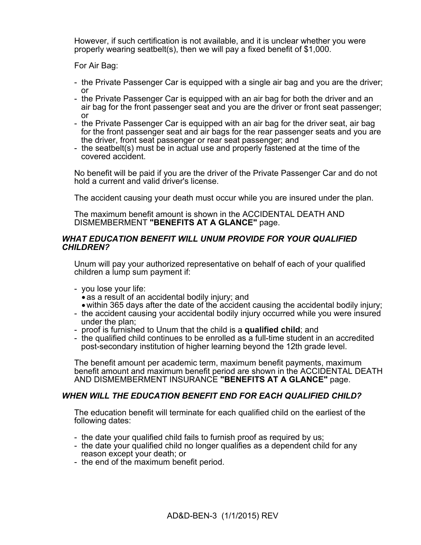However, if such certification is not available, and it is unclear whether you were properly wearing seatbelt(s), then we will pay a fixed benefit of \$1,000.

For Air Bag:

- the Private Passenger Car is equipped with a single air bag and you are the driver; or
- the Private Passenger Car is equipped with an air bag for both the driver and an air bag for the front passenger seat and you are the driver or front seat passenger; or
- the Private Passenger Car is equipped with an air bag for the driver seat, air bag for the front passenger seat and air bags for the rear passenger seats and you are the driver, front seat passenger or rear seat passenger; and
- the seatbelt(s) must be in actual use and properly fastened at the time of the covered accident.

No benefit will be paid if you are the driver of the Private Passenger Car and do not hold a current and valid driver's license.

The accident causing your death must occur while you are insured under the plan.

The maximum benefit amount is shown in the ACCIDENTAL DEATH AND DISMEMBERMENT **"BENEFITS AT A GLANCE"** page.

# *WHAT EDUCATION BENEFIT WILL UNUM PROVIDE FOR YOUR QUALIFIED CHILDREN?*

Unum will pay your authorized representative on behalf of each of your qualified children a lump sum payment if:

- you lose your life:
	- as a result of an accidental bodily injury; and
- within 365 days after the date of the accident causing the accidental bodily injury;
- the accident causing your accidental bodily injury occurred while you were insured under the plan;
- proof is furnished to Unum that the child is a **qualified child**; and
- the qualified child continues to be enrolled as a full-time student in an accredited post-secondary institution of higher learning beyond the 12th grade level.

The benefit amount per academic term, maximum benefit payments, maximum benefit amount and maximum benefit period are shown in the ACCIDENTAL DEATH AND DISMEMBERMENT INSURANCE **"BENEFITS AT A GLANCE"** page.

# *WHEN WILL THE EDUCATION BENEFIT END FOR EACH QUALIFIED CHILD?*

The education benefit will terminate for each qualified child on the earliest of the following dates:

- the date your qualified child fails to furnish proof as required by us;
- the date your qualified child no longer qualifies as a dependent child for any reason except your death; or
- the end of the maximum benefit period.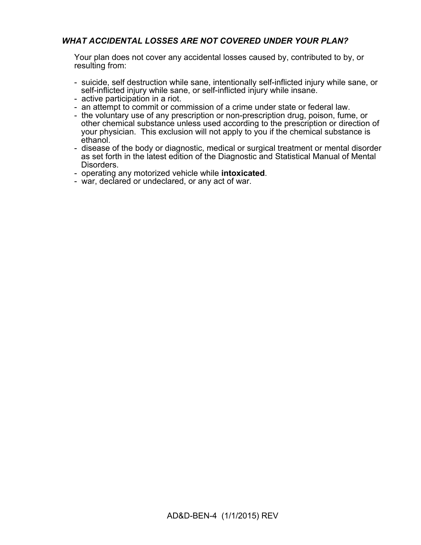# *WHAT ACCIDENTAL LOSSES ARE NOT COVERED UNDER YOUR PLAN?*

Your plan does not cover any accidental losses caused by, contributed to by, or resulting from:

- suicide, self destruction while sane, intentionally self-inflicted injury while sane, or self-inflicted injury while sane, or self-inflicted injury while insane.
- active participation in a riot.
- an attempt to commit or commission of a crime under state or federal law.
- the voluntary use of any prescription or non-prescription drug, poison, fume, or other chemical substance unless used according to the prescription or direction of your physician. This exclusion will not apply to you if the chemical substance is ethanol.
- disease of the body or diagnostic, medical or surgical treatment or mental disorder as set forth in the latest edition of the Diagnostic and Statistical Manual of Mental Disorders.
- operating any motorized vehicle while **intoxicated**.
- war, declared or undeclared, or any act of war.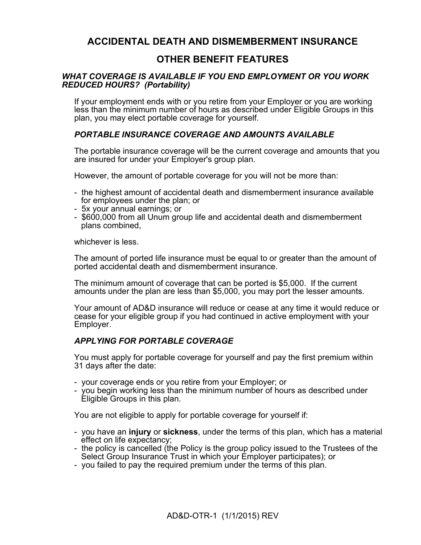# **ACCIDENTAL DEATH AND DISMEMBERMENT INSURANCE**

# **OTHER BENEFIT FEATURES**

# *WHAT COVERAGE IS AVAILABLE IF YOU END EMPLOYMENT OR YOU WORK REDUCED HOURS? (Portability)*

If your employment ends with or you retire from your Employer or you are working less than the minimum number of hours as described under Eligible Groups in this plan, you may elect portable coverage for yourself.

# *PORTABLE INSURANCE COVERAGE AND AMOUNTS AVAILABLE*

The portable insurance coverage will be the current coverage and amounts that you are insured for under your Employer's group plan.

However, the amount of portable coverage for you will not be more than:

- the highest amount of accidental death and dismemberment insurance available for employees under the plan; or
- 5x your annual earnings; or
- \$600,000 from all Unum group life and accidental death and dismemberment plans combined,

whichever is less.

The amount of ported life insurance must be equal to or greater than the amount of ported accidental death and dismemberment insurance.

The minimum amount of coverage that can be ported is \$5,000. If the current amounts under the plan are less than \$5,000, you may port the lesser amounts.

Your amount of AD&D insurance will reduce or cease at any time it would reduce or cease for your eligible group if you had continued in active employment with your Employer.

# *APPLYING FOR PORTABLE COVERAGE*

You must apply for portable coverage for yourself and pay the first premium within 31 days after the date:

- your coverage ends or you retire from your Employer; or
- you begin working less than the minimum number of hours as described under Eligible Groups in this plan.

You are not eligible to apply for portable coverage for yourself if:

- you have an **injury** or **sickness**, under the terms of this plan, which has a material effect on life expectancy;
- the policy is cancelled (the Policy is the group policy issued to the Trustees of the Select Group Insurance Trust in which your Employer participates); or
- you failed to pay the required premium under the terms of this plan.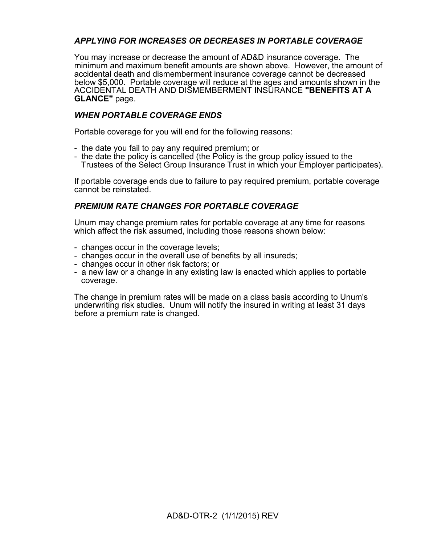# *APPLYING FOR INCREASES OR DECREASES IN PORTABLE COVERAGE*

You may increase or decrease the amount of AD&D insurance coverage. The minimum and maximum benefit amounts are shown above. However, the amount of accidental death and dismemberment insurance coverage cannot be decreased below \$5,000. Portable coverage will reduce at the ages and amounts shown in the ACCIDENTAL DEATH AND DISMEMBERMENT INSURANCE **"BENEFITS AT A GLANCE"** page.

# *WHEN PORTABLE COVERAGE ENDS*

Portable coverage for you will end for the following reasons:

- the date you fail to pay any required premium; or
- the date the policy is cancelled (the Policy is the group policy issued to the Trustees of the Select Group Insurance Trust in which your Employer participates).

If portable coverage ends due to failure to pay required premium, portable coverage cannot be reinstated.

# *PREMIUM RATE CHANGES FOR PORTABLE COVERAGE*

Unum may change premium rates for portable coverage at any time for reasons which affect the risk assumed, including those reasons shown below:

- changes occur in the coverage levels;
- changes occur in the overall use of benefits by all insureds;
- changes occur in other risk factors; or
- a new law or a change in any existing law is enacted which applies to portable coverage.

The change in premium rates will be made on a class basis according to Unum's underwriting risk studies. Unum will notify the insured in writing at least 31 days before a premium rate is changed.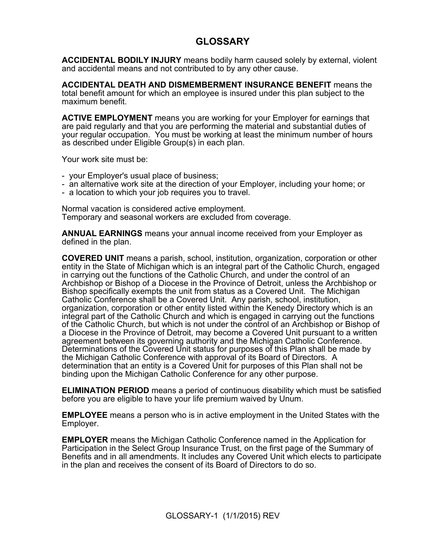# **GLOSSARY**

**ACCIDENTAL BODILY INJURY** means bodily harm caused solely by external, violent and accidental means and not contributed to by any other cause.

**ACCIDENTAL DEATH AND DISMEMBERMENT INSURANCE BENEFIT** means the total benefit amount for which an employee is insured under this plan subject to the maximum benefit.

**ACTIVE EMPLOYMENT** means you are working for your Employer for earnings that are paid regularly and that you are performing the material and substantial duties of your regular occupation. You must be working at least the minimum number of hours as described under Eligible Group(s) in each plan.

Your work site must be:

- your Employer's usual place of business;
- an alternative work site at the direction of your Employer, including your home; or
- a location to which your job requires you to travel.

Normal vacation is considered active employment. Temporary and seasonal workers are excluded from coverage.

**ANNUAL EARNINGS** means your annual income received from your Employer as defined in the plan.

**COVERED UNIT** means a parish, school, institution, organization, corporation or other entity in the State of Michigan which is an integral part of the Catholic Church, engaged in carrying out the functions of the Catholic Church, and under the control of an Archbishop or Bishop of a Diocese in the Province of Detroit, unless the Archbishop or Bishop specifically exempts the unit from status as a Covered Unit. The Michigan Catholic Conference shall be a Covered Unit. Any parish, school, institution, organization, corporation or other entity listed within the Kenedy Directory which is an integral part of the Catholic Church and which is engaged in carrying out the functions of the Catholic Church, but which is not under the control of an Archbishop or Bishop of a Diocese in the Province of Detroit, may become a Covered Unit pursuant to a written agreement between its governing authority and the Michigan Catholic Conference. Determinations of the Covered Unit status for purposes of this Plan shall be made by the Michigan Catholic Conference with approval of its Board of Directors. A determination that an entity is a Covered Unit for purposes of this Plan shall not be binding upon the Michigan Catholic Conference for any other purpose.

**ELIMINATION PERIOD** means a period of continuous disability which must be satisfied before you are eligible to have your life premium waived by Unum.

**EMPLOYEE** means a person who is in active employment in the United States with the Employer.

**EMPLOYER** means the Michigan Catholic Conference named in the Application for Participation in the Select Group Insurance Trust, on the first page of the Summary of Benefits and in all amendments. It includes any Covered Unit which elects to participate in the plan and receives the consent of its Board of Directors to do so.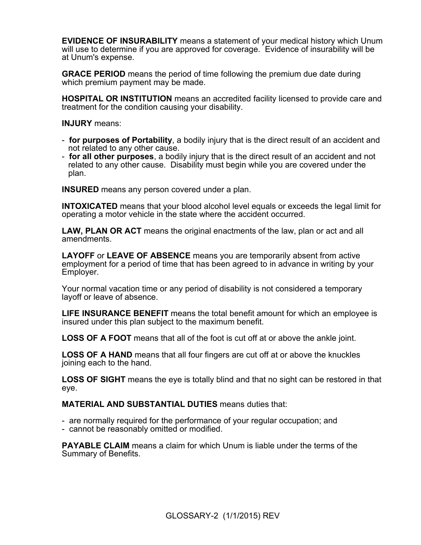**EVIDENCE OF INSURABILITY** means a statement of your medical history which Unum will use to determine if you are approved for coverage. Evidence of insurability will be at Unum's expense.

**GRACE PERIOD** means the period of time following the premium due date during which premium payment may be made.

**HOSPITAL OR INSTITUTION** means an accredited facility licensed to provide care and treatment for the condition causing your disability.

**INJURY** means:

- **for purposes of Portability**, a bodily injury that is the direct result of an accident and not related to any other cause.
- **for all other purposes**, a bodily injury that is the direct result of an accident and not related to any other cause. Disability must begin while you are covered under the plan.

**INSURED** means any person covered under a plan.

**INTOXICATED** means that your blood alcohol level equals or exceeds the legal limit for operating a motor vehicle in the state where the accident occurred.

**LAW, PLAN OR ACT** means the original enactments of the law, plan or act and all amendments.

**LAYOFF** or **LEAVE OF ABSENCE** means you are temporarily absent from active employment for a period of time that has been agreed to in advance in writing by your Employer.

Your normal vacation time or any period of disability is not considered a temporary layoff or leave of absence.

**LIFE INSURANCE BENEFIT** means the total benefit amount for which an employee is insured under this plan subject to the maximum benefit.

**LOSS OF A FOOT** means that all of the foot is cut off at or above the ankle joint.

**LOSS OF A HAND** means that all four fingers are cut off at or above the knuckles joining each to the hand.

**LOSS OF SIGHT** means the eye is totally blind and that no sight can be restored in that eye.

**MATERIAL AND SUBSTANTIAL DUTIES** means duties that:

- are normally required for the performance of your regular occupation; and
- cannot be reasonably omitted or modified.

**PAYABLE CLAIM** means a claim for which Unum is liable under the terms of the Summary of Benefits.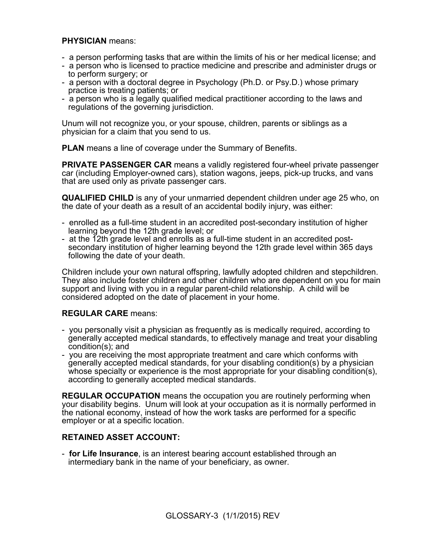# **PHYSICIAN** means:

- a person performing tasks that are within the limits of his or her medical license; and
- a person who is licensed to practice medicine and prescribe and administer drugs or to perform surgery; or
- a person with a doctoral degree in Psychology (Ph.D. or Psy.D.) whose primary practice is treating patients; or
- a person who is a legally qualified medical practitioner according to the laws and regulations of the governing jurisdiction.

Unum will not recognize you, or your spouse, children, parents or siblings as a physician for a claim that you send to us.

**PLAN** means a line of coverage under the Summary of Benefits.

**PRIVATE PASSENGER CAR** means a validly registered four-wheel private passenger car (including Employer-owned cars), station wagons, jeeps, pick-up trucks, and vans that are used only as private passenger cars.

**QUALIFIED CHILD** is any of your unmarried dependent children under age 25 who, on the date of your death as a result of an accidental bodily injury, was either:

- enrolled as a full-time student in an accredited post-secondary institution of higher learning beyond the 12th grade level; or
- at the 12th grade level and enrolls as a full-time student in an accredited postsecondary institution of higher learning beyond the 12th grade level within 365 days following the date of your death.

Children include your own natural offspring, lawfully adopted children and stepchildren. They also include foster children and other children who are dependent on you for main support and living with you in a regular parent-child relationship. A child will be considered adopted on the date of placement in your home.

# **REGULAR CARE** means:

- you personally visit a physician as frequently as is medically required, according to generally accepted medical standards, to effectively manage and treat your disabling condition(s); and
- you are receiving the most appropriate treatment and care which conforms with generally accepted medical standards, for your disabling condition(s) by a physician whose specialty or experience is the most appropriate for your disabling condition(s), according to generally accepted medical standards.

**REGULAR OCCUPATION** means the occupation you are routinely performing when your disability begins. Unum will look at your occupation as it is normally performed in the national economy, instead of how the work tasks are performed for a specific employer or at a specific location.

# **RETAINED ASSET ACCOUNT:**

- **for Life Insurance**, is an interest bearing account established through an intermediary bank in the name of your beneficiary, as owner.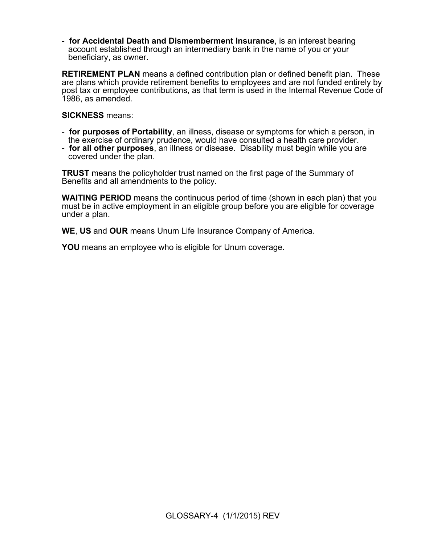- **for Accidental Death and Dismemberment Insurance**, is an interest bearing account established through an intermediary bank in the name of you or your beneficiary, as owner.

**RETIREMENT PLAN** means a defined contribution plan or defined benefit plan. These are plans which provide retirement benefits to employees and are not funded entirely by post tax or employee contributions, as that term is used in the Internal Revenue Code of 1986, as amended.

## **SICKNESS** means:

- **for purposes of Portability**, an illness, disease or symptoms for which a person, in the exercise of ordinary prudence, would have consulted a health care provider.
- **for all other purposes**, an illness or disease. Disability must begin while you are covered under the plan.

**TRUST** means the policyholder trust named on the first page of the Summary of Benefits and all amendments to the policy.

**WAITING PERIOD** means the continuous period of time (shown in each plan) that you must be in active employment in an eligible group before you are eligible for coverage under a plan.

**WE**, **US** and **OUR** means Unum Life Insurance Company of America.

**YOU** means an employee who is eligible for Unum coverage.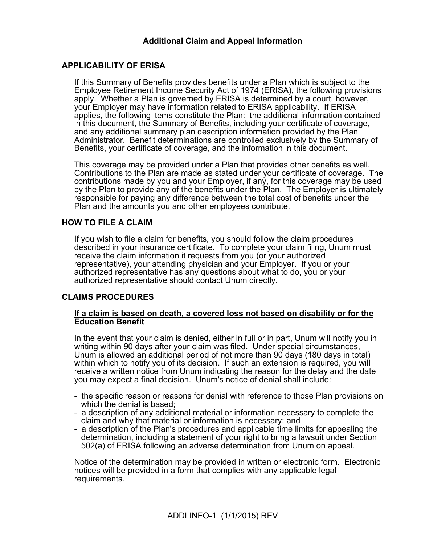# **Additional Claim and Appeal Information**

# **APPLICABILITY OF ERISA**

If this Summary of Benefits provides benefits under a Plan which is subject to the Employee Retirement Income Security Act of 1974 (ERISA), the following provisions apply. Whether a Plan is governed by ERISA is determined by a court, however, your Employer may have information related to ERISA applicability. If ERISA applies, the following items constitute the Plan: the additional information contained in this document, the Summary of Benefits, including your certificate of coverage, and any additional summary plan description information provided by the Plan Administrator. Benefit determinations are controlled exclusively by the Summary of Benefits, your certificate of coverage, and the information in this document.

This coverage may be provided under a Plan that provides other benefits as well. Contributions to the Plan are made as stated under your certificate of coverage. The contributions made by you and your Employer, if any, for this coverage may be used by the Plan to provide any of the benefits under the Plan. The Employer is ultimately responsible for paying any difference between the total cost of benefits under the Plan and the amounts you and other employees contribute.

# **HOW TO FILE A CLAIM**

If you wish to file a claim for benefits, you should follow the claim procedures described in your insurance certificate. To complete your claim filing, Unum must receive the claim information it requests from you (or your authorized representative), your attending physician and your Employer. If you or your authorized representative has any questions about what to do, you or your authorized representative should contact Unum directly.

# **CLAIMS PROCEDURES**

### **If a claim is based on death, a covered loss not based on disability or for the Education Benefit**

In the event that your claim is denied, either in full or in part, Unum will notify you in writing within 90 days after your claim was filed. Under special circumstances, Unum is allowed an additional period of not more than 90 days (180 days in total) within which to notify you of its decision. If such an extension is required, you will receive a written notice from Unum indicating the reason for the delay and the date you may expect a final decision. Unum's notice of denial shall include:

- the specific reason or reasons for denial with reference to those Plan provisions on which the denial is based;
- a description of any additional material or information necessary to complete the claim and why that material or information is necessary; and
- a description of the Plan's procedures and applicable time limits for appealing the determination, including a statement of your right to bring a lawsuit under Section 502(a) of ERISA following an adverse determination from Unum on appeal.

Notice of the determination may be provided in written or electronic form. Electronic notices will be provided in a form that complies with any applicable legal requirements.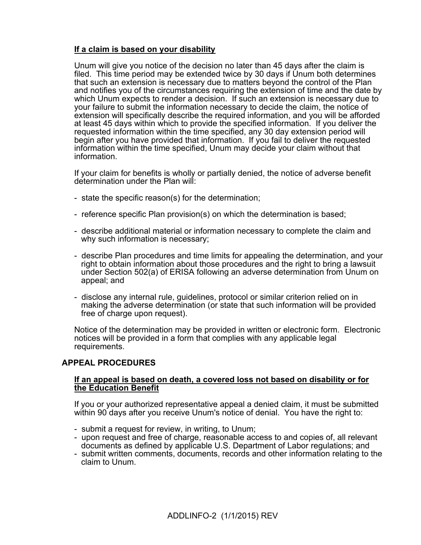# **If a claim is based on your disability**

Unum will give you notice of the decision no later than 45 days after the claim is filed. This time period may be extended twice by 30 days if Unum both determines that such an extension is necessary due to matters beyond the control of the Plan and notifies you of the circumstances requiring the extension of time and the date by which Unum expects to render a decision. If such an extension is necessary due to your failure to submit the information necessary to decide the claim, the notice of extension will specifically describe the required information, and you will be afforded at least 45 days within which to provide the specified information. If you deliver the requested information within the time specified, any 30 day extension period will begin after you have provided that information. If you fail to deliver the requested information within the time specified, Unum may decide your claim without that information.

If your claim for benefits is wholly or partially denied, the notice of adverse benefit determination under the Plan will:

- state the specific reason(s) for the determination;
- reference specific Plan provision(s) on which the determination is based;
- describe additional material or information necessary to complete the claim and why such information is necessary;
- describe Plan procedures and time limits for appealing the determination, and your right to obtain information about those procedures and the right to bring a lawsuit under Section 502(a) of ERISA following an adverse determination from Unum on appeal; and
- disclose any internal rule, guidelines, protocol or similar criterion relied on in making the adverse determination (or state that such information will be provided free of charge upon request).

Notice of the determination may be provided in written or electronic form. Electronic notices will be provided in a form that complies with any applicable legal requirements.

# **APPEAL PROCEDURES**

# **If an appeal is based on death, a covered loss not based on disability or for the Education Benefit**

If you or your authorized representative appeal a denied claim, it must be submitted within 90 days after you receive Unum's notice of denial. You have the right to:

- submit a request for review, in writing, to Unum;
- upon request and free of charge, reasonable access to and copies of, all relevant documents as defined by applicable U.S. Department of Labor regulations; and
- submit written comments, documents, records and other information relating to the claim to Unum.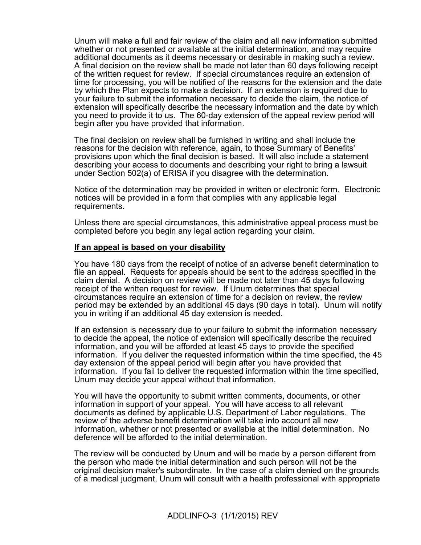Unum will make a full and fair review of the claim and all new information submitted whether or not presented or available at the initial determination, and may require additional documents as it deems necessary or desirable in making such a review. A final decision on the review shall be made not later than 60 days following receipt of the written request for review. If special circumstances require an extension of time for processing, you will be notified of the reasons for the extension and the date by which the Plan expects to make a decision. If an extension is required due to your failure to submit the information necessary to decide the claim, the notice of extension will specifically describe the necessary information and the date by which you need to provide it to us. The 60-day extension of the appeal review period will begin after you have provided that information.

The final decision on review shall be furnished in writing and shall include the reasons for the decision with reference, again, to those Summary of Benefits' provisions upon which the final decision is based. It will also include a statement describing your access to documents and describing your right to bring a lawsuit under Section 502(a) of ERISA if you disagree with the determination.

Notice of the determination may be provided in written or electronic form. Electronic notices will be provided in a form that complies with any applicable legal requirements.

Unless there are special circumstances, this administrative appeal process must be completed before you begin any legal action regarding your claim.

### **If an appeal is based on your disability**

You have 180 days from the receipt of notice of an adverse benefit determination to file an appeal. Requests for appeals should be sent to the address specified in the claim denial. A decision on review will be made not later than 45 days following receipt of the written request for review. If Unum determines that special circumstances require an extension of time for a decision on review, the review period may be extended by an additional 45 days (90 days in total). Unum will notify you in writing if an additional 45 day extension is needed.

If an extension is necessary due to your failure to submit the information necessary to decide the appeal, the notice of extension will specifically describe the required information, and you will be afforded at least 45 days to provide the specified information. If you deliver the requested information within the time specified, the 45 day extension of the appeal period will begin after you have provided that information. If you fail to deliver the requested information within the time specified, Unum may decide your appeal without that information.

You will have the opportunity to submit written comments, documents, or other information in support of your appeal. You will have access to all relevant documents as defined by applicable U.S. Department of Labor regulations. The review of the adverse benefit determination will take into account all new information, whether or not presented or available at the initial determination. No deference will be afforded to the initial determination.

The review will be conducted by Unum and will be made by a person different from the person who made the initial determination and such person will not be the original decision maker's subordinate. In the case of a claim denied on the grounds of a medical judgment, Unum will consult with a health professional with appropriate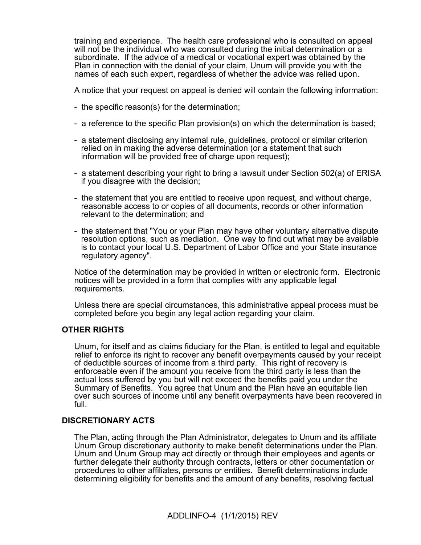training and experience. The health care professional who is consulted on appeal will not be the individual who was consulted during the initial determination or a subordinate. If the advice of a medical or vocational expert was obtained by the Plan in connection with the denial of your claim, Unum will provide you with the names of each such expert, regardless of whether the advice was relied upon.

A notice that your request on appeal is denied will contain the following information:

- the specific reason(s) for the determination;
- a reference to the specific Plan provision(s) on which the determination is based;
- a statement disclosing any internal rule, guidelines, protocol or similar criterion relied on in making the adverse determination (or a statement that such information will be provided free of charge upon request);
- a statement describing your right to bring a lawsuit under Section 502(a) of ERISA if you disagree with the decision;
- the statement that you are entitled to receive upon request, and without charge, reasonable access to or copies of all documents, records or other information relevant to the determination; and
- the statement that "You or your Plan may have other voluntary alternative dispute resolution options, such as mediation. One way to find out what may be available is to contact your local U.S. Department of Labor Office and your State insurance regulatory agency".

Notice of the determination may be provided in written or electronic form. Electronic notices will be provided in a form that complies with any applicable legal requirements.

Unless there are special circumstances, this administrative appeal process must be completed before you begin any legal action regarding your claim.

# **OTHER RIGHTS**

Unum, for itself and as claims fiduciary for the Plan, is entitled to legal and equitable relief to enforce its right to recover any benefit overpayments caused by your receipt of deductible sources of income from a third party. This right of recovery is enforceable even if the amount you receive from the third party is less than the actual loss suffered by you but will not exceed the benefits paid you under the Summary of Benefits. You agree that Unum and the Plan have an equitable lien over such sources of income until any benefit overpayments have been recovered in full.

# **DISCRETIONARY ACTS**

The Plan, acting through the Plan Administrator, delegates to Unum and its affiliate Unum Group discretionary authority to make benefit determinations under the Plan. Unum and Unum Group may act directly or through their employees and agents or further delegate their authority through contracts, letters or other documentation or procedures to other affiliates, persons or entities. Benefit determinations include determining eligibility for benefits and the amount of any benefits, resolving factual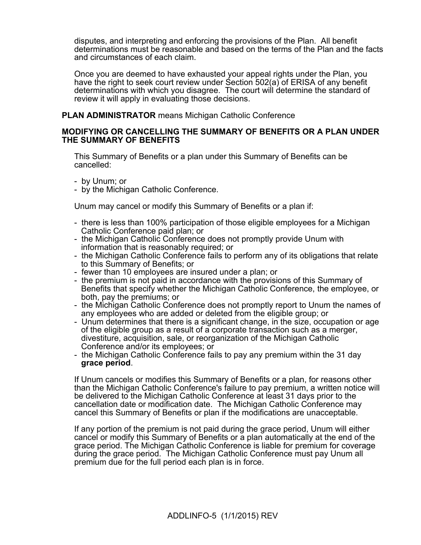disputes, and interpreting and enforcing the provisions of the Plan. All benefit determinations must be reasonable and based on the terms of the Plan and the facts and circumstances of each claim.

Once you are deemed to have exhausted your appeal rights under the Plan, you have the right to seek court review under Section 502(a) of ERISA of any benefit determinations with which you disagree. The court will determine the standard of review it will apply in evaluating those decisions.

**PLAN ADMINISTRATOR** means Michigan Catholic Conference

### **MODIFYING OR CANCELLING THE SUMMARY OF BENEFITS OR A PLAN UNDER THE SUMMARY OF BENEFITS**

This Summary of Benefits or a plan under this Summary of Benefits can be cancelled:

- by Unum; or

- by the Michigan Catholic Conference.

Unum may cancel or modify this Summary of Benefits or a plan if:

- there is less than 100% participation of those eligible employees for a Michigan Catholic Conference paid plan; or
- the Michigan Catholic Conference does not promptly provide Unum with information that is reasonably required; or
- the Michigan Catholic Conference fails to perform any of its obligations that relate to this Summary of Benefits; or
- fewer than 10 employees are insured under a plan; or
- the premium is not paid in accordance with the provisions of this Summary of Benefits that specify whether the Michigan Catholic Conference, the employee, or both, pay the premiums; or
- the Michigan Catholic Conference does not promptly report to Unum the names of any employees who are added or deleted from the eligible group; or
- Unum determines that there is a significant change, in the size, occupation or age of the eligible group as a result of a corporate transaction such as a merger, divestiture, acquisition, sale, or reorganization of the Michigan Catholic Conference and/or its employees; or
- the Michigan Catholic Conference fails to pay any premium within the 31 day **grace period**.

If Unum cancels or modifies this Summary of Benefits or a plan, for reasons other than the Michigan Catholic Conference's failure to pay premium, a written notice will be delivered to the Michigan Catholic Conference at least 31 days prior to the cancellation date or modification date. The Michigan Catholic Conference may cancel this Summary of Benefits or plan if the modifications are unacceptable.

If any portion of the premium is not paid during the grace period, Unum will either cancel or modify this Summary of Benefits or a plan automatically at the end of the grace period. The Michigan Catholic Conference is liable for premium for coverage during the grace period. The Michigan Catholic Conference must pay Unum all premium due for the full period each plan is in force.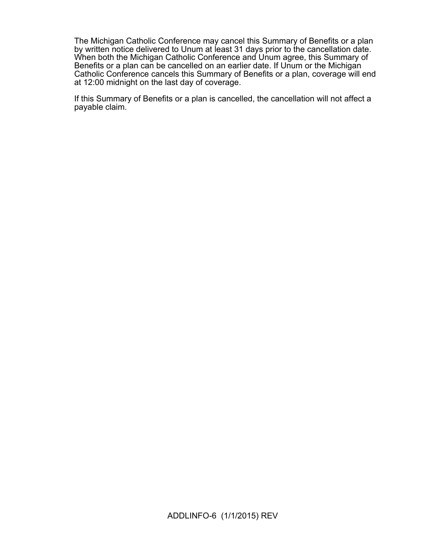The Michigan Catholic Conference may cancel this Summary of Benefits or a plan by written notice delivered to Unum at least 31 days prior to the cancellation date. When both the Michigan Catholic Conference and Unum agree, this Summary of Benefits or a plan can be cancelled on an earlier date. If Unum or the Michigan Catholic Conference cancels this Summary of Benefits or a plan, coverage will end at 12:00 midnight on the last day of coverage.

If this Summary of Benefits or a plan is cancelled, the cancellation will not affect a payable claim.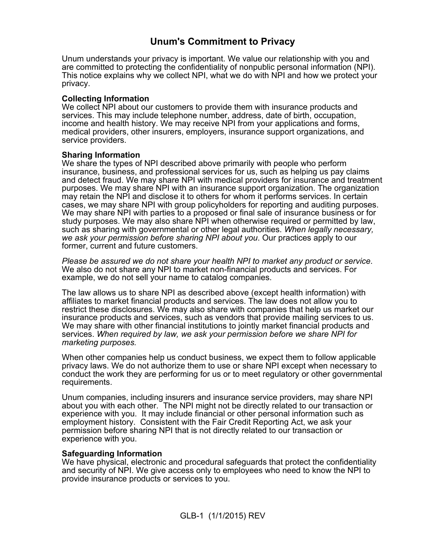# **Unum's Commitment to Privacy**

Unum understands your privacy is important. We value our relationship with you and are committed to protecting the confidentiality of nonpublic personal information (NPI). This notice explains why we collect NPI, what we do with NPI and how we protect your privacy.

# **Collecting Information**

We collect NPI about our customers to provide them with insurance products and services. This may include telephone number, address, date of birth, occupation, income and health history. We may receive NPI from your applications and forms, medical providers, other insurers, employers, insurance support organizations, and service providers.

# **Sharing Information**

We share the types of NPI described above primarily with people who perform insurance, business, and professional services for us, such as helping us pay claims and detect fraud. We may share NPI with medical providers for insurance and treatment purposes. We may share NPI with an insurance support organization. The organization may retain the NPI and disclose it to others for whom it performs services. In certain cases, we may share NPI with group policyholders for reporting and auditing purposes. We may share NPI with parties to a proposed or final sale of insurance business or for study purposes. We may also share NPI when otherwise required or permitted by law, such as sharing with governmental or other legal authorities. *When legally necessary, we ask your permission before sharing NPI about you*. Our practices apply to our former, current and future customers.

*Please be assured we do not share your health NPI to market any product or service*. We also do not share any NPI to market non-financial products and services. For example, we do not sell your name to catalog companies.

The law allows us to share NPI as described above (except health information) with affiliates to market financial products and services. The law does not allow you to restrict these disclosures. We may also share with companies that help us market our insurance products and services, such as vendors that provide mailing services to us. We may share with other financial institutions to jointly market financial products and services. *When required by law, we ask your permission before we share NPI for marketing purposes.*

When other companies help us conduct business, we expect them to follow applicable privacy laws. We do not authorize them to use or share NPI except when necessary to conduct the work they are performing for us or to meet regulatory or other governmental requirements.

Unum companies, including insurers and insurance service providers, may share NPI about you with each other. The NPI might not be directly related to our transaction or experience with you. It may include financial or other personal information such as employment history. Consistent with the Fair Credit Reporting Act, we ask your permission before sharing NPI that is not directly related to our transaction or experience with you.

# **Safeguarding Information**

We have physical, electronic and procedural safeguards that protect the confidentiality and security of NPI. We give access only to employees who need to know the NPI to provide insurance products or services to you.